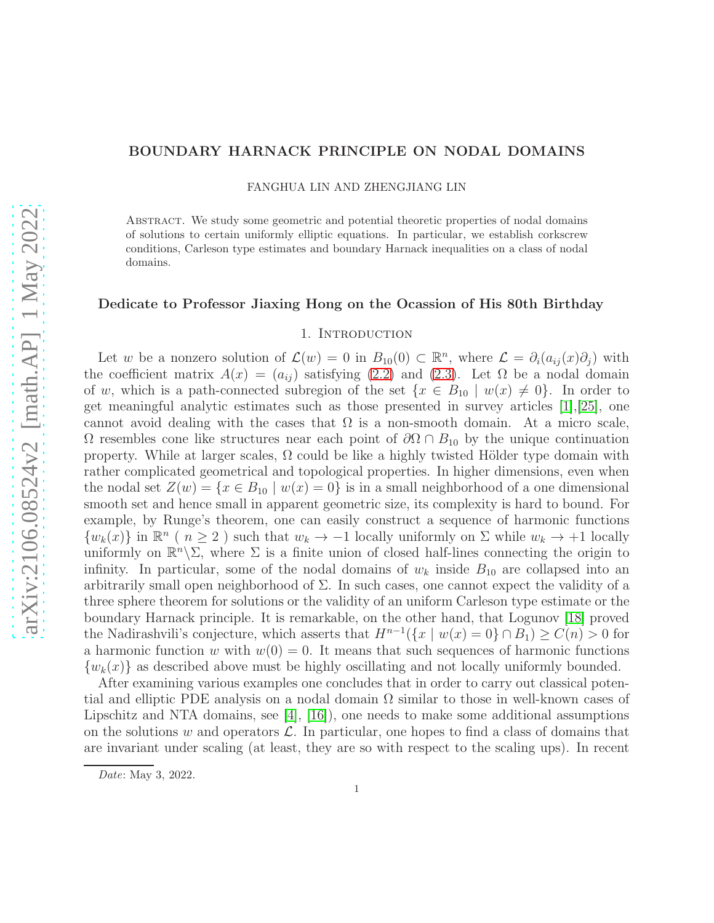### BOUNDARY HARNACK PRINCIPLE ON NODAL DOMAINS

FANGHUA LIN AND ZHENGJIANG LIN

Abstract. We study some geometric and potential theoretic properties of nodal domains of solutions to certain uniformly elliptic equations. In particular, we establish corkscrew conditions, Carleson type estimates and boundary Harnack inequalities on a class of nodal domains.

### Dedicate to Professor Jiaxing Hong on the Ocassion of His 80th Birthday

### 1. Introduction

Let w be a nonzero solution of  $\mathcal{L}(w) = 0$  in  $B_{10}(0) \subset \mathbb{R}^n$ , where  $\mathcal{L} = \partial_i(a_{ij}(x)\partial_j)$  with the coefficient matrix  $A(x) = (a_{ij})$  satisfying [\(2.2\)](#page-4-0) and [\(2.3\)](#page-4-1). Let  $\Omega$  be a nodal domain of w, which is a path-connected subregion of the set  $\{x \in B_{10} \mid w(x) \neq 0\}$ . In order to get meaningful analytic estimates such as those presented in survey articles [\[1\]](#page-21-0),[\[25\]](#page-22-0), one cannot avoid dealing with the cases that  $\Omega$  is a non-smooth domain. At a micro scale,  $\Omega$  resembles cone like structures near each point of  $\partial\Omega \cap B_{10}$  by the unique continuation property. While at larger scales,  $\Omega$  could be like a highly twisted Hölder type domain with rather complicated geometrical and topological properties. In higher dimensions, even when the nodal set  $Z(w) = \{x \in B_{10} \mid w(x) = 0\}$  is in a small neighborhood of a one dimensional smooth set and hence small in apparent geometric size, its complexity is hard to bound. For example, by Runge's theorem, one can easily construct a sequence of harmonic functions  $\{w_k(x)\}\$ in  $\mathbb{R}^n$  ( $n \geq 2$ ) such that  $w_k \to -1$  locally uniformly on  $\Sigma$  while  $w_k \to +1$  locally uniformly on  $\mathbb{R}^n\setminus\Sigma$ , where  $\Sigma$  is a finite union of closed half-lines connecting the origin to infinity. In particular, some of the nodal domains of  $w_k$  inside  $B_{10}$  are collapsed into an arbitrarily small open neighborhood of  $\Sigma$ . In such cases, one cannot expect the validity of a three sphere theorem for solutions or the validity of an uniform Carleson type estimate or the boundary Harnack principle. It is remarkable, on the other hand, that Logunov [\[18\]](#page-22-1) proved the Nadirashvili's conjecture, which asserts that  $H^{n-1}(\{x \mid w(x) = 0\} \cap B_1) \ge C(n) > 0$  for a harmonic function w with  $w(0) = 0$ . It means that such sequences of harmonic functions  ${w_k(x)}$  as described above must be highly oscillating and not locally uniformly bounded.

After examining various examples one concludes that in order to carry out classical potential and elliptic PDE analysis on a nodal domain  $\Omega$  similar to those in well-known cases of Lipschitz and NTA domains, see  $[4]$ ,  $[16]$ ), one needs to make some additional assumptions on the solutions w and operators  $\mathcal{L}$ . In particular, one hopes to find a class of domains that are invariant under scaling (at least, they are so with respect to the scaling ups). In recent

Date: May 3, 2022.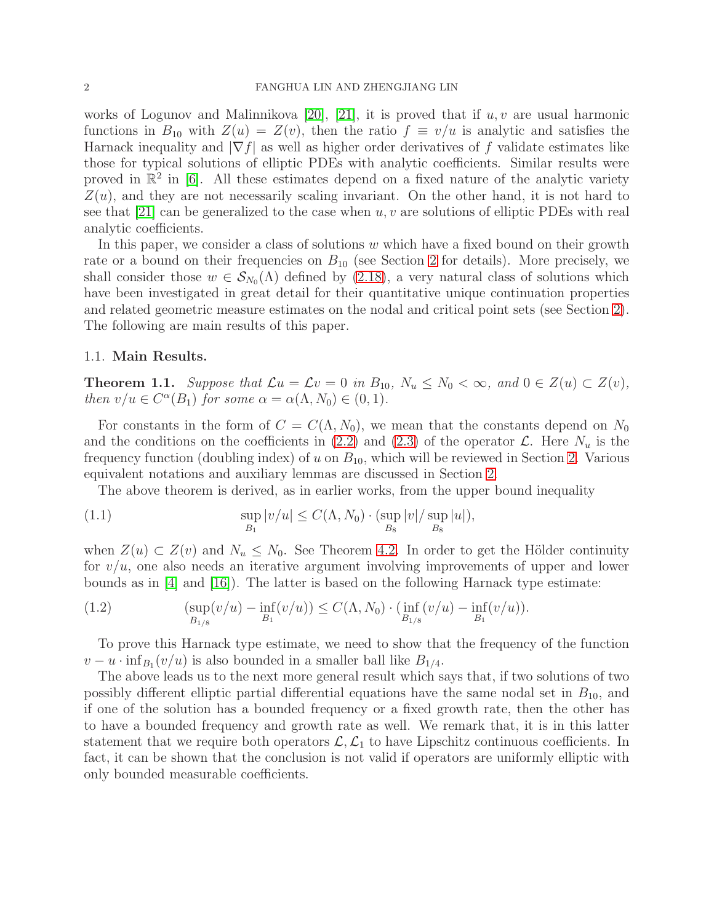#### 2 FANGHUA LIN AND ZHENGJIANG LIN

works of Logunov and Malinnikova [\[20\]](#page-22-3), [\[21\]](#page-22-4), it is proved that if  $u, v$  are usual harmonic functions in  $B_{10}$  with  $Z(u) = Z(v)$ , then the ratio  $f \equiv v/u$  is analytic and satisfies the Harnack inequality and  $|\nabla f|$  as well as higher order derivatives of f validate estimates like those for typical solutions of elliptic PDEs with analytic coefficients. Similar results were proved in  $\mathbb{R}^2$  in [\[6\]](#page-21-2). All these estimates depend on a fixed nature of the analytic variety  $Z(u)$ , and they are not necessarily scaling invariant. On the other hand, it is not hard to see that [\[21\]](#page-22-4) can be generalized to the case when  $u, v$  are solutions of elliptic PDEs with real analytic coefficients.

In this paper, we consider a class of solutions w which have a fixed bound on their growth rate or a bound on their frequencies on  $B_{10}$  (see Section [2](#page-4-2) for details). More precisely, we shall consider those  $w \in S_{N_0}(\Lambda)$  defined by [\(2.18\)](#page-7-0), a very natural class of solutions which have been investigated in great detail for their quantitative unique continuation properties and related geometric measure estimates on the nodal and critical point sets (see Section [2\)](#page-4-2). The following are main results of this paper.

### 1.1. Main Results.

<span id="page-1-0"></span>**Theorem 1.1.** Suppose that  $\mathcal{L}u = \mathcal{L}v = 0$  in  $B_{10}$ ,  $N_u \le N_0 < \infty$ , and  $0 \in Z(u) \subset Z(v)$ , *then*  $v/u \in C^{\alpha}(B_1)$  *for some*  $\alpha = \alpha(\Lambda, N_0) \in (0, 1)$ *.* 

For constants in the form of  $C = C(\Lambda, N_0)$ , we mean that the constants depend on  $N_0$ and the conditions on the coefficients in [\(2.2\)](#page-4-0) and [\(2.3\)](#page-4-1) of the operator  $\mathcal{L}$ . Here  $N_u$  is the frequency function (doubling index) of u on  $B_{10}$ , which will be reviewed in Section [2.](#page-4-2) Various equivalent notations and auxiliary lemmas are discussed in Section [2.](#page-4-2)

<span id="page-1-1"></span>The above theorem is derived, as in earlier works, from the upper bound inequality

(1.1) 
$$
\sup_{B_1} |v/u| \le C(\Lambda, N_0) \cdot (\sup_{B_8} |v| / \sup_{B_8} |u|),
$$

when  $Z(u) \subset Z(v)$  and  $N_u \leq N_0$ . See Theorem [4.2.](#page-10-0) In order to get the Hölder continuity for  $v/u$ , one also needs an iterative argument involving improvements of upper and lower bounds as in  $[4]$  and  $[16]$ ). The latter is based on the following Harnack type estimate:

(1.2) 
$$
(\sup_{B_{1/8}} (v/u) - \inf_{B_1} (v/u)) \leq C(\Lambda, N_0) \cdot (\inf_{B_{1/8}} (v/u) - \inf_{B_1} (v/u)).
$$

To prove this Harnack type estimate, we need to show that the frequency of the function  $v - u \cdot \inf_{B_1}(v/u)$  is also bounded in a smaller ball like  $B_{1/4}$ .

The above leads us to the next more general result which says that, if two solutions of two possibly different elliptic partial differential equations have the same nodal set in  $B_{10}$ , and if one of the solution has a bounded frequency or a fixed growth rate, then the other has to have a bounded frequency and growth rate as well. We remark that, it is in this latter statement that we require both operators  $\mathcal{L}, \mathcal{L}_1$  to have Lipschitz continuous coefficients. In fact, it can be shown that the conclusion is not valid if operators are uniformly elliptic with only bounded measurable coefficients.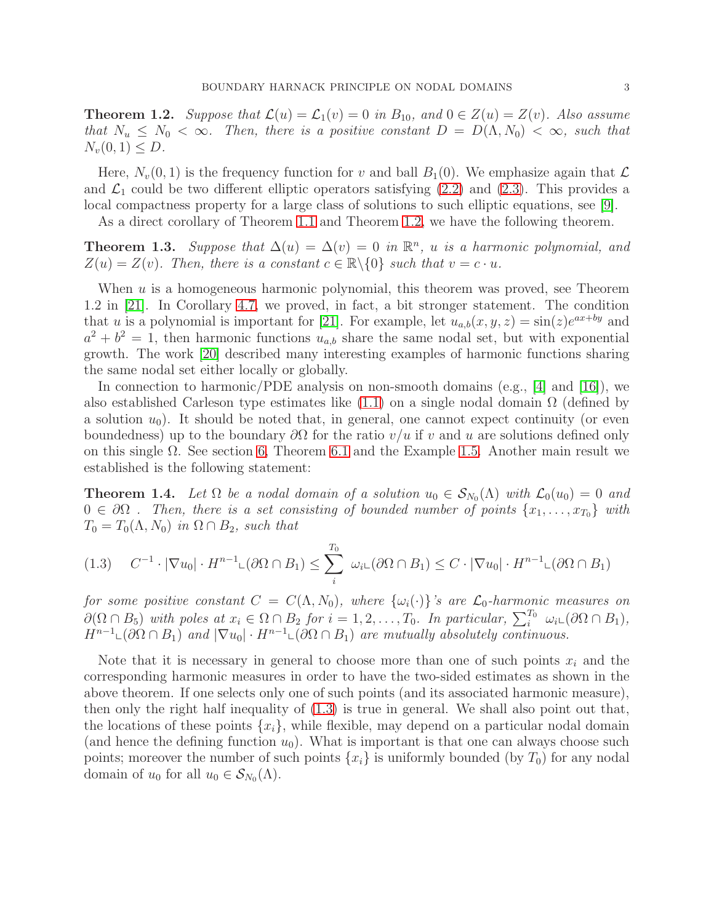<span id="page-2-0"></span>**Theorem 1.2.** *Suppose that*  $\mathcal{L}(u) = \mathcal{L}_1(v) = 0$  *in*  $B_{10}$ *, and*  $0 \in Z(u) = Z(v)$ *. Also assume that*  $N_u \leq N_0 < \infty$ . Then, there is a positive constant  $D = D(\Lambda, N_0) < \infty$ , such that  $N_v(0, 1) \leq D$ .

Here,  $N_v(0, 1)$  is the frequency function for v and ball  $B_1(0)$ . We emphasize again that  $\mathcal L$ and  $\mathcal{L}_1$  could be two different elliptic operators satisfying [\(2.2\)](#page-4-0) and [\(2.3\)](#page-4-1). This provides a local compactness property for a large class of solutions to such elliptic equations, see [\[9\]](#page-22-5).

As a direct corollary of Theorem [1.1](#page-1-0) and Theorem [1.2,](#page-2-0) we have the following theorem.

<span id="page-2-2"></span>**Theorem 1.3.** *Suppose that*  $\Delta(u) = \Delta(v) = 0$  *in*  $\mathbb{R}^n$ *, u is a harmonic polynomial, and*  $Z(u) = Z(v)$ *. Then, there is a constant*  $c \in \mathbb{R} \backslash \{0\}$  *such that*  $v = c \cdot u$ *.* 

When u is a homogeneous harmonic polynomial, this theorem was proved, see Theorem 1.2 in [\[21\]](#page-22-4). In Corollary [4.7,](#page-13-0) we proved, in fact, a bit stronger statement. The condition that u is a polynomial is important for [\[21\]](#page-22-4). For example, let  $u_{a,b}(x, y, z) = \sin(z)e^{ax+by}$  and  $a^2 + b^2 = 1$ , then harmonic functions  $u_{a,b}$  share the same nodal set, but with exponential growth. The work [\[20\]](#page-22-3) described many interesting examples of harmonic functions sharing the same nodal set either locally or globally.

In connection to harmonic/PDE analysis on non-smooth domains (e.g.,  $|4|$  and  $|16|$ ), we also established Carleson type estimates like  $(1.1)$  on a single nodal domain  $\Omega$  (defined by a solution  $u_0$ ). It should be noted that, in general, one cannot expect continuity (or even boundedness) up to the boundary  $\partial\Omega$  for the ratio  $v/u$  if v and u are solutions defined only on this single  $\Omega$ . See section [6,](#page-16-0) Theorem [6.1](#page-17-0) and the Example [1.5.](#page-3-0) Another main result we established is the following statement:

<span id="page-2-3"></span>**Theorem 1.4.** Let  $\Omega$  be a nodal domain of a solution  $u_0 \in S_{N_0}(\Lambda)$  with  $\mathcal{L}_0(u_0) = 0$  and  $0 \in \partial\Omega$ . Then, there is a set consisting of bounded number of points  $\{x_1, \ldots, x_{T_0}\}$  with  $T_0 = T_0(\Lambda, N_0)$  *in*  $\Omega \cap B_2$ *, such that* 

<span id="page-2-1"></span>
$$
(1.3) \quad C^{-1} \cdot |\nabla u_0| \cdot H^{n-1} \mathcal{L}(\partial \Omega \cap B_1) \le \sum_i^{T_0} \omega_i \mathcal{L}(\partial \Omega \cap B_1) \le C \cdot |\nabla u_0| \cdot H^{n-1} \mathcal{L}(\partial \Omega \cap B_1)
$$

*for some positive constant*  $C = C(\Lambda, N_0)$ *, where*  $\{\omega_i(\cdot)\}$ *'s are*  $\mathcal{L}_0$ *-harmonic measures on*  $\partial(\Omega \cap B_5)$  *with poles at*  $x_i \in \Omega \cap B_2$  *for*  $i = 1, 2, \ldots, T_0$ *. In particular,*  $\sum_i^{T_0} \omega_i \cup (\partial \Omega \cap B_1)$ *,*  $H^{n-1}\text{L}(\partial\Omega \cap B_1)$  *and*  $|\nabla u_0| \cdot H^{n-1}\text{L}(\partial\Omega \cap B_1)$  *are mutually absolutely continuous.* 

Note that it is necessary in general to choose more than one of such points  $x_i$  and the corresponding harmonic measures in order to have the two-sided estimates as shown in the above theorem. If one selects only one of such points (and its associated harmonic measure), then only the right half inequality of [\(1.3\)](#page-2-1) is true in general. We shall also point out that, the locations of these points  $\{x_i\}$ , while flexible, may depend on a particular nodal domain (and hence the defining function  $u_0$ ). What is important is that one can always choose such points; moreover the number of such points  $\{x_i\}$  is uniformly bounded (by  $T_0$ ) for any nodal domain of  $u_0$  for all  $u_0 \in S_{N_0}(\Lambda)$ .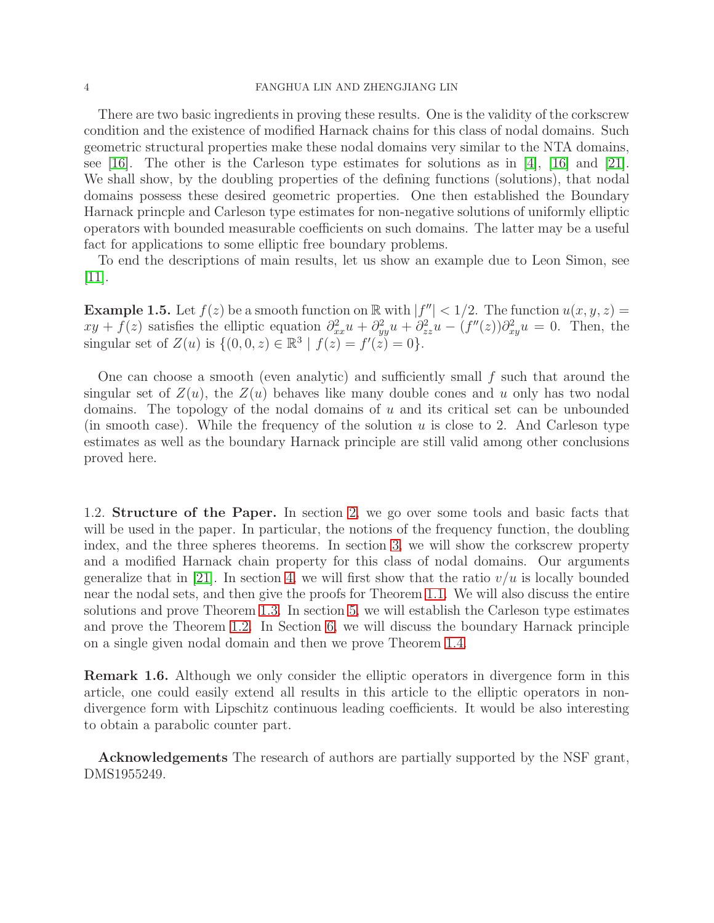#### 4 FANGHUA LIN AND ZHENGJIANG LIN

There are two basic ingredients in proving these results. One is the validity of the corkscrew condition and the existence of modified Harnack chains for this class of nodal domains. Such geometric structural properties make these nodal domains very similar to the NTA domains, see [\[16\]](#page-22-2). The other is the Carleson type estimates for solutions as in [\[4\]](#page-21-1), [\[16\]](#page-22-2) and [\[21\]](#page-22-4). We shall show, by the doubling properties of the defining functions (solutions), that nodal domains possess these desired geometric properties. One then established the Boundary Harnack princple and Carleson type estimates for non-negative solutions of uniformly elliptic operators with bounded measurable coefficients on such domains. The latter may be a useful fact for applications to some elliptic free boundary problems.

To end the descriptions of main results, let us show an example due to Leon Simon, see  $|11|$ .

<span id="page-3-0"></span>**Example 1.5.** Let  $f(z)$  be a smooth function on  $\mathbb{R}$  with  $|f''| < 1/2$ . The function  $u(x, y, z) =$  $xy + f(z)$  satisfies the elliptic equation  $\partial_{xx}^2 u + \partial_{yy}^2 u + \partial_{zz}^2 u - (f''(z))\partial_{xy}^2 u = 0$ . Then, the singular set of  $Z(u)$  is  $\{(0,0,z) \in \mathbb{R}^3 \mid f(z) = f'(z) = 0\}.$ 

One can choose a smooth (even analytic) and sufficiently small  $f$  such that around the singular set of  $Z(u)$ , the  $Z(u)$  behaves like many double cones and u only has two nodal domains. The topology of the nodal domains of  $u$  and its critical set can be unbounded (in smooth case). While the frequency of the solution  $u$  is close to 2. And Carleson type estimates as well as the boundary Harnack principle are still valid among other conclusions proved here.

1.2. Structure of the Paper. In section [2,](#page-4-2) we go over some tools and basic facts that will be used in the paper. In particular, the notions of the frequency function, the doubling index, and the three spheres theorems. In section [3,](#page-7-1) we will show the corkscrew property and a modified Harnack chain property for this class of nodal domains. Our arguments generalize that in [\[21\]](#page-22-4). In section [4,](#page-10-1) we will first show that the ratio  $v/u$  is locally bounded near the nodal sets, and then give the proofs for Theorem [1.1.](#page-1-0) We will also discuss the entire solutions and prove Theorem [1.3.](#page-2-2) In section [5,](#page-14-0) we will establish the Carleson type estimates and prove the Theorem [1.2.](#page-2-0) In Section [6,](#page-16-0) we will discuss the boundary Harnack principle on a single given nodal domain and then we prove Theorem [1.4.](#page-2-3)

Remark 1.6. Although we only consider the elliptic operators in divergence form in this article, one could easily extend all results in this article to the elliptic operators in nondivergence form with Lipschitz continuous leading coefficients. It would be also interesting to obtain a parabolic counter part.

Acknowledgements The research of authors are partially supported by the NSF grant, DMS1955249.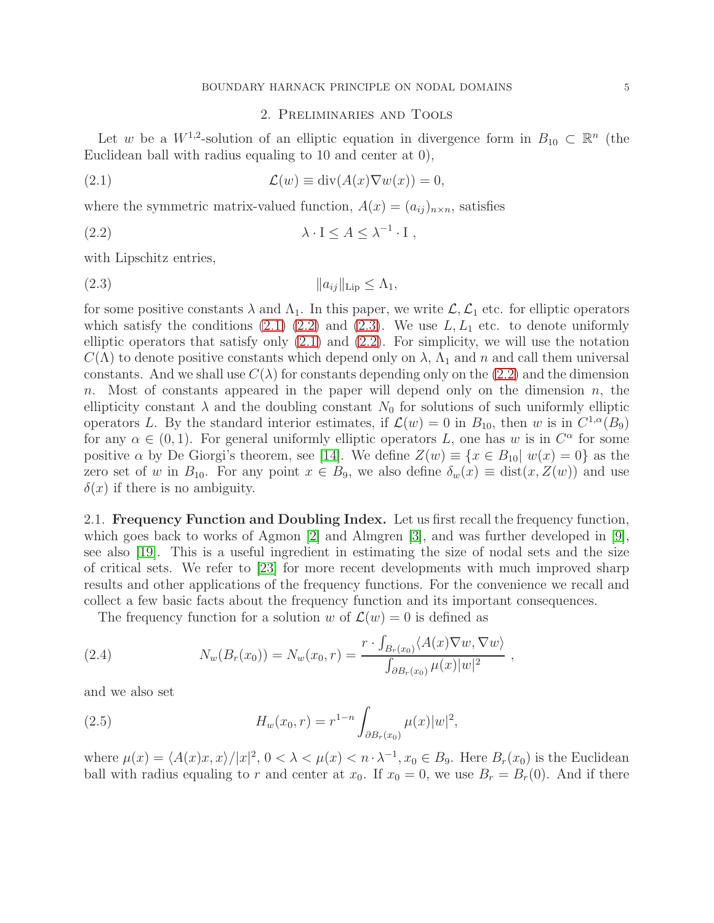## <span id="page-4-3"></span><span id="page-4-1"></span><span id="page-4-0"></span>2. Preliminaries and Tools

<span id="page-4-2"></span>Let w be a  $W^{1,2}$ -solution of an elliptic equation in divergence form in  $B_{10} \subset \mathbb{R}^n$  (the Euclidean ball with radius equaling to 10 and center at 0),

(2.1) 
$$
\mathcal{L}(w) \equiv \text{div}(A(x)\nabla w(x)) = 0,
$$

where the symmetric matrix-valued function,  $A(x) = (a_{ij})_{n \times n}$ , satisfies

(2.2) 
$$
\lambda \cdot I \leq A \leq \lambda^{-1} \cdot I,
$$

with Lipschitz entries,

$$
(2.3) \t\t\t ||a_{ij}||_{\text{Lip}} \le \Lambda_1,
$$

for some positive constants  $\lambda$  and  $\Lambda_1$ . In this paper, we write  $\mathcal{L}, \mathcal{L}_1$  etc. for elliptic operators which satisfy the conditions [\(2.1\)](#page-4-3) [\(2.2\)](#page-4-0) and [\(2.3\)](#page-4-1). We use  $L, L_1$  etc. to denote uniformly elliptic operators that satisfy only  $(2.1)$  and  $(2.2)$ . For simplicity, we will use the notation  $C(\Lambda)$  to denote positive constants which depend only on  $\lambda$ ,  $\Lambda_1$  and n and call them universal constants. And we shall use  $C(\lambda)$  for constants depending only on the [\(2.2\)](#page-4-0) and the dimension n. Most of constants appeared in the paper will depend only on the dimension  $n$ , the ellipticity constant  $\lambda$  and the doubling constant  $N_0$  for solutions of such uniformly elliptic operators L. By the standard interior estimates, if  $\mathcal{L}(w) = 0$  in  $B_{10}$ , then w is in  $C^{1,\alpha}(B_9)$ for any  $\alpha \in (0,1)$ . For general uniformly elliptic operators L, one has w is in  $C^{\alpha}$  for some positive  $\alpha$  by De Giorgi's theorem, see [\[14\]](#page-22-7). We define  $Z(w) \equiv \{x \in B_{10} | w(x) = 0\}$  as the zero set of w in  $B_{10}$ . For any point  $x \in B_9$ , we also define  $\delta_w(x) \equiv \text{dist}(x, Z(w))$  and use  $\delta(x)$  if there is no ambiguity.

2.1. Frequency Function and Doubling Index. Let us first recall the frequency function, which goes back to works of Agmon [\[2\]](#page-21-3) and Almgren [\[3\]](#page-21-4), and was further developed in [\[9\]](#page-22-5), see also [\[19\]](#page-22-8). This is a useful ingredient in estimating the size of nodal sets and the size of critical sets. We refer to [\[23\]](#page-22-9) for more recent developments with much improved sharp results and other applications of the frequency functions. For the convenience we recall and collect a few basic facts about the frequency function and its important consequences.

The frequency function for a solution w of  $\mathcal{L}(w) = 0$  is defined as

(2.4) 
$$
N_w(B_r(x_0)) = N_w(x_0, r) = \frac{r \cdot \int_{B_r(x_0)} \langle A(x) \nabla w, \nabla w \rangle}{\int_{\partial B_r(x_0)} \mu(x) |w|^2},
$$

and we also set

(2.5) 
$$
H_w(x_0, r) = r^{1-n} \int_{\partial B_r(x_0)} \mu(x) |w|^2,
$$

where  $\mu(x) = \langle A(x)x, x \rangle / |x|^2$ ,  $0 < \lambda < \mu(x) < n \cdot \lambda^{-1}$ ,  $x_0 \in B_9$ . Here  $B_r(x_0)$  is the Euclidean ball with radius equaling to r and center at  $x_0$ . If  $x_0 = 0$ , we use  $B_r = B_r(0)$ . And if there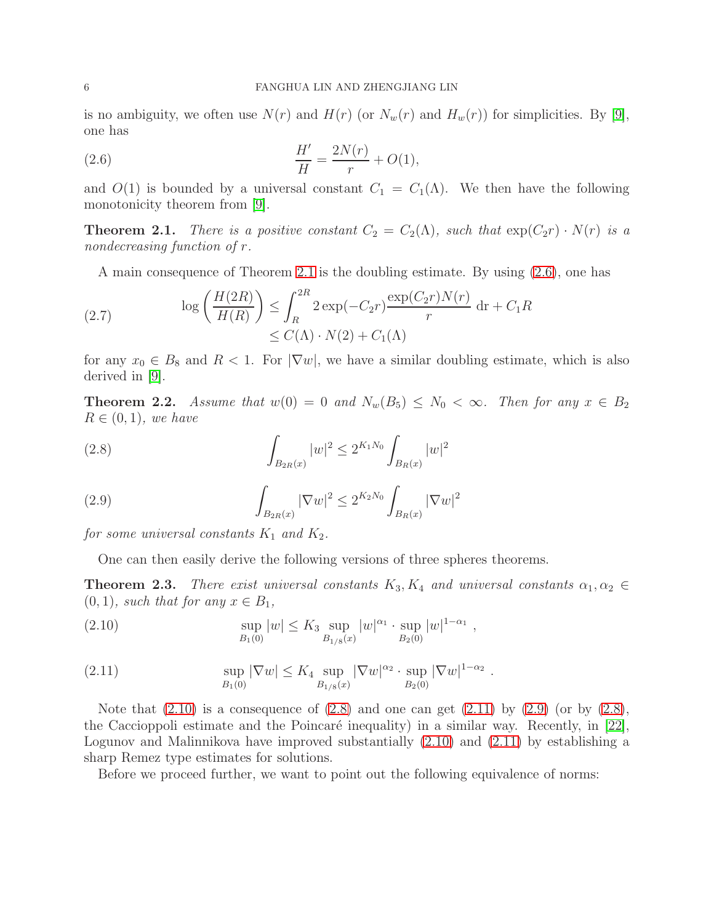is no ambiguity, we often use  $N(r)$  and  $H(r)$  (or  $N_w(r)$  and  $H_w(r)$ ) for simplicities. By [\[9\]](#page-22-5), one has

<span id="page-5-1"></span>(2.6) 
$$
\frac{H'}{H} = \frac{2N(r)}{r} + O(1),
$$

and  $O(1)$  is bounded by a universal constant  $C_1 = C_1(\Lambda)$ . We then have the following monotonicity theorem from [\[9\]](#page-22-5).

<span id="page-5-0"></span>**Theorem 2.1.** *There is a positive constant*  $C_2 = C_2(\Lambda)$ *, such that*  $\exp(C_2r) \cdot N(r)$  *is a nondecreasing function of* r*.*

A main consequence of Theorem [2.1](#page-5-0) is the doubling estimate. By using [\(2.6\)](#page-5-1), one has

(2.7) 
$$
\log\left(\frac{H(2R)}{H(R)}\right) \leq \int_{R}^{2R} 2\exp(-C_2r) \frac{\exp(C_2r)N(r)}{r} dr + C_1R
$$

$$
\leq C(\Lambda) \cdot N(2) + C_1(\Lambda)
$$

for any  $x_0 \in B_8$  and  $R < 1$ . For  $|\nabla w|$ , we have a similar doubling estimate, which is also derived in [\[9\]](#page-22-5).

**Theorem 2.2.** *Assume that*  $w(0) = 0$  *and*  $N_w(B_5) \leq N_0 < \infty$ *. Then for any*  $x \in B_2$  $R \in (0,1)$ *, we have* 

<span id="page-5-3"></span>(2.8) 
$$
\int_{B_{2R}(x)} |w|^2 \le 2^{K_1 N_0} \int_{B_R(x)} |w|^2
$$

(2.9) 
$$
\int_{B_{2R}(x)} |\nabla w|^2 \le 2^{K_2 N_0} \int_{B_R(x)} |\nabla w|^2
$$

*for some universal constants*  $K_1$  *and*  $K_2$ *.* 

<span id="page-5-5"></span>One can then easily derive the following versions of three spheres theorems.

**Theorem 2.3.** *There exist universal constants*  $K_3, K_4$  *and universal constants*  $\alpha_1, \alpha_2 \in$  $(0, 1)$ *, such that for any*  $x \in B_1$ *,* 

<span id="page-5-2"></span>(2.10) 
$$
\sup_{B_1(0)} |w| \leq K_3 \sup_{B_{1/8}(x)} |w|^{\alpha_1} \cdot \sup_{B_2(0)} |w|^{1-\alpha_1},
$$

<span id="page-5-4"></span>(2.11) 
$$
\sup_{B_1(0)} |\nabla w| \le K_4 \sup_{B_{1/8}(x)} |\nabla w|^{\alpha_2} \cdot \sup_{B_2(0)} |\nabla w|^{1-\alpha_2}
$$

Note that  $(2.10)$  is a consequence of  $(2.8)$  and one can get  $(2.11)$  by  $(2.9)$  (or by  $(2.8)$ , the Caccioppoli estimate and the Poincaré inequality) in a similar way. Recently, in  $[22]$ , Logunov and Malinnikova have improved substantially [\(2.10\)](#page-5-2) and [\(2.11\)](#page-5-4) by establishing a sharp Remez type estimates for solutions.

.

Before we proceed further, we want to point out the following equivalence of norms: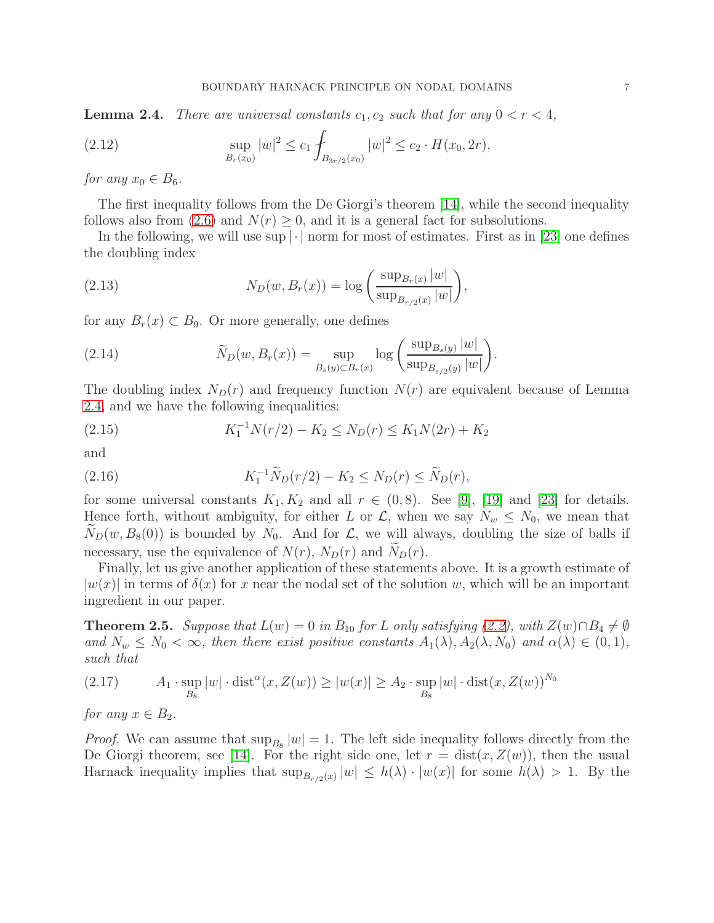<span id="page-6-0"></span>**Lemma 2.4.** *There are universal constants*  $c_1$ ,  $c_2$  *such that for any*  $0 < r < 4$ ,

(2.12) 
$$
\sup_{B_r(x_0)} |w|^2 \le c_1 \int_{B_{3r/2}(x_0)} |w|^2 \le c_2 \cdot H(x_0, 2r),
$$

*for any*  $x_0 \in B_6$ *.* 

The first inequality follows from the De Giorgi's theorem [\[14\]](#page-22-7), while the second inequality follows also from [\(2.6\)](#page-5-1) and  $N(r) \geq 0$ , and it is a general fact for subsolutions.

In the following, we will use  $\sup |\cdot|$  norm for most of estimates. First as in [\[23\]](#page-22-9) one defines the doubling index

(2.13) 
$$
N_D(w, B_r(x)) = \log \left( \frac{\sup_{B_r(x)} |w|}{\sup_{B_{r/2}(x)} |w|} \right),
$$

for any  $B_r(x) \subset B_9$ . Or more generally, one defines

(2.14) 
$$
\widetilde{N}_D(w, B_r(x)) = \sup_{B_s(y) \subset B_r(x)} \log \left( \frac{\sup_{B_s(y)} |w|}{\sup_{B_{s/2}(y)} |w|} \right).
$$

The doubling index  $N_D(r)$  and frequency function  $N(r)$  are equivalent because of Lemma [2.4,](#page-6-0) and we have the following inequalities:

(2.15) 
$$
K_1^{-1}N(r/2) - K_2 \le N_D(r) \le K_1N(2r) + K_2
$$

and

<span id="page-6-2"></span>(2.16) 
$$
K_1^{-1} \widetilde{N}_D(r/2) - K_2 \le N_D(r) \le \widetilde{N}_D(r),
$$

for some universal constants  $K_1, K_2$  and all  $r \in (0,8)$ . See [\[9\]](#page-22-5), [\[19\]](#page-22-8) and [\[23\]](#page-22-9) for details. Hence forth, without ambiguity, for either L or  $\mathcal{L}$ , when we say  $N_w \leq N_0$ , we mean that  $N_D(w, B_8(0))$  is bounded by  $N_0$ . And for  $\mathcal{L}$ , we will always, doubling the size of balls if necessary, use the equivalence of  $N(r)$ ,  $N_D(r)$  and  $N_D(r)$ .

Finally, let us give another application of these statements above. It is a growth estimate of  $|w(x)|$  in terms of  $\delta(x)$  for x near the nodal set of the solution w, which will be an important ingredient in our paper.

<span id="page-6-1"></span>**Theorem 2.5.** *Suppose that*  $L(w) = 0$  *in*  $B_{10}$  *for* L *only satisfying*  $(2.2)$ *, with*  $Z(w) \cap B_4 \neq \emptyset$ *and*  $N_w \leq N_0 < \infty$ , then there exist positive constants  $A_1(\lambda), A_2(\lambda, N_0)$  and  $\alpha(\lambda) \in (0, 1)$ , *such that*

(2.17) 
$$
A_1 \cdot \sup_{B_8} |w| \cdot \text{dist}^{\alpha}(x, Z(w)) \ge |w(x)| \ge A_2 \cdot \sup_{B_8} |w| \cdot \text{dist}(x, Z(w))^{N_0}
$$

*for any*  $x \in B_2$ *.* 

*Proof.* We can assume that  $\sup_{B_8}|w|=1$ . The left side inequality follows directly from the De Giorgi theorem, see [\[14\]](#page-22-7). For the right side one, let  $r = \text{dist}(x, Z(w))$ , then the usual Harnack inequality implies that  $\sup_{B_{r/2}(x)} |w| \leq h(\lambda) \cdot |w(x)|$  for some  $h(\lambda) > 1$ . By the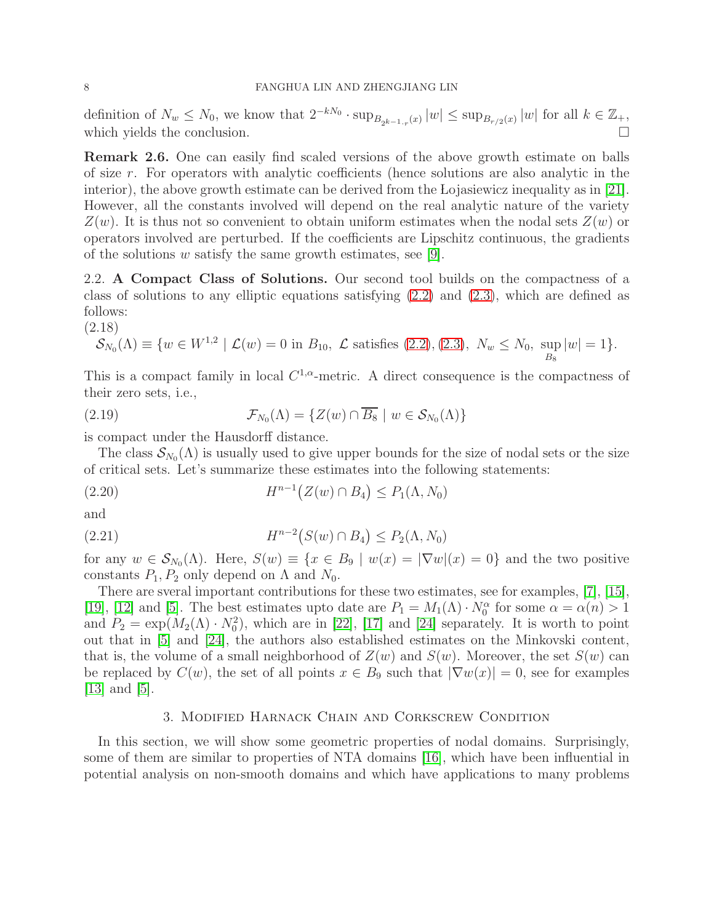definition of  $N_w \le N_0$ , we know that  $2^{-kN_0} \cdot \sup_{B_{2^{k-1} \cdot r}(x)} |w| \le \sup_{B_{r/2}(x)} |w|$  for all  $k \in \mathbb{Z}_+$ , which yields the conclusion.

Remark 2.6. One can easily find scaled versions of the above growth estimate on balls of size r. For operators with analytic coefficients (hence solutions are also analytic in the interior), the above growth estimate can be derived from the Lojasiewicz inequality as in [\[21\]](#page-22-4). However, all the constants involved will depend on the real analytic nature of the variety  $Z(w)$ . It is thus not so convenient to obtain uniform estimates when the nodal sets  $Z(w)$  or operators involved are perturbed. If the coefficients are Lipschitz continuous, the gradients of the solutions  $w$  satisfy the same growth estimates, see [\[9\]](#page-22-5).

2.2. A Compact Class of Solutions. Our second tool builds on the compactness of a class of solutions to any elliptic equations satisfying  $(2.2)$  and  $(2.3)$ , which are defined as follows:

(2.18)

<span id="page-7-0"></span>
$$
\mathcal{S}_{N_0}(\Lambda) \equiv \{ w \in W^{1,2} \mid \mathcal{L}(w) = 0 \text{ in } B_{10}, \mathcal{L} \text{ satisfies (2.2), (2.3), } N_w \le N_0, \sup_{B_8} |w| = 1 \}.
$$

This is a compact family in local  $C^{1,\alpha}$ -metric. A direct consequence is the compactness of their zero sets, i.e.,

(2.19) 
$$
\mathcal{F}_{N_0}(\Lambda) = \{ Z(w) \cap \overline{B_8} \mid w \in \mathcal{S}_{N_0}(\Lambda) \}
$$

is compact under the Hausdorff distance.

The class  $\mathcal{S}_{N_0}(\Lambda)$  is usually used to give upper bounds for the size of nodal sets or the size of critical sets. Let's summarize these estimates into the following statements:

<span id="page-7-2"></span>(2.20) 
$$
H^{n-1}(Z(w) \cap B_4) \le P_1(\Lambda, N_0)
$$

and

<span id="page-7-3"></span>(2.21) 
$$
H^{n-2}(S(w) \cap B_4) \le P_2(\Lambda, N_0)
$$

for any  $w \in \mathcal{S}_{N_0}(\Lambda)$ . Here,  $S(w) \equiv \{x \in B_9 \mid w(x) = |\nabla w|(x) = 0\}$  and the two positive constants  $P_1, P_2$  only depend on  $\Lambda$  and  $N_0$ .

There are sveral important contributions for these two estimates, see for examples, [\[7\]](#page-22-11), [\[15\]](#page-22-12), [\[19\]](#page-22-8), [\[12\]](#page-22-13) and [\[5\]](#page-21-5). The best estimates upto date are  $P_1 = M_1(\Lambda) \cdot N_0^{\alpha}$  for some  $\alpha = \alpha(n) > 1$ and  $P_2 = \exp(M_2(\Lambda) \cdot N_0^2)$ , which are in [\[22\]](#page-22-10), [\[17\]](#page-22-14) and [\[24\]](#page-22-15) separately. It is worth to point out that in [\[5\]](#page-21-5) and [\[24\]](#page-22-15), the authors also established estimates on the Minkovski content, that is, the volume of a small neighborhood of  $Z(w)$  and  $S(w)$ . Moreover, the set  $S(w)$  can be replaced by  $C(w)$ , the set of all points  $x \in B_9$  such that  $|\nabla w(x)| = 0$ , see for examples  $|13|$  and  $|5|$ .

## 3. Modified Harnack Chain and Corkscrew Condition

<span id="page-7-1"></span>In this section, we will show some geometric properties of nodal domains. Surprisingly, some of them are similar to properties of NTA domains [\[16\]](#page-22-2), which have been influential in potential analysis on non-smooth domains and which have applications to many problems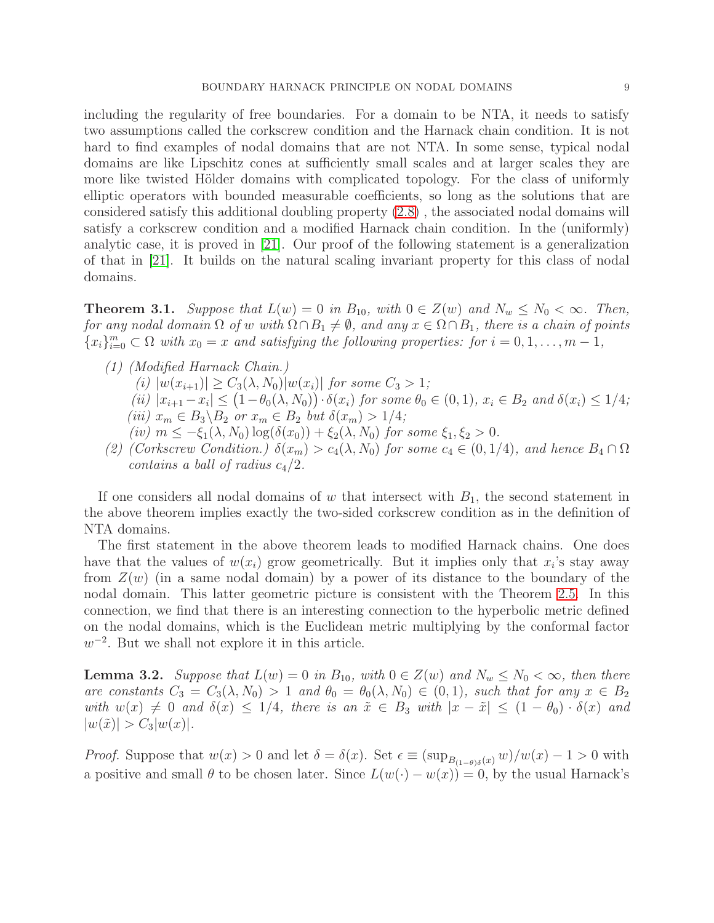including the regularity of free boundaries. For a domain to be NTA, it needs to satisfy two assumptions called the corkscrew condition and the Harnack chain condition. It is not hard to find examples of nodal domains that are not NTA. In some sense, typical nodal domains are like Lipschitz cones at sufficiently small scales and at larger scales they are more like twisted Hölder domains with complicated topology. For the class of uniformly elliptic operators with bounded measurable coefficients, so long as the solutions that are considered satisfy this additional doubling property [\(2.8\)](#page-5-3) , the associated nodal domains will satisfy a corkscrew condition and a modified Harnack chain condition. In the (uniformly) analytic case, it is proved in [\[21\]](#page-22-4). Our proof of the following statement is a generalization of that in [\[21\]](#page-22-4). It builds on the natural scaling invariant property for this class of nodal domains.

<span id="page-8-1"></span>**Theorem 3.1.** *Suppose that*  $L(w) = 0$  *in*  $B_{10}$ *, with*  $0 \in Z(w)$  *and*  $N_w \le N_0 < \infty$ *. Then, for any nodal domain*  $\Omega$  *of* w with  $\Omega \cap B_1 \neq \emptyset$ , and any  $x \in \Omega \cap B_1$ , there is a chain of points  ${x_i}_{i=0}^m \subset \Omega$  *with*  $x_0 = x$  *and satisfying the following properties: for*  $i = 0, 1, ..., m - 1$ ,

- *(1) (Modified Harnack Chain.)*
	- $(i)$   $|w(x_{i+1})| \geq C_3(\lambda, N_0)|w(x_i)|$  *for some*  $C_3 > 1$ *;*
	- $(iii)$   $|x_{i+1} x_i| \leq (1 \theta_0(\lambda, N_0)) \cdot \delta(x_i)$  *for some*  $\theta_0 \in (0, 1)$ *,*  $x_i \in B_2$  *and*  $\delta(x_i) \leq 1/4$ *; (iii)*  $x_m$  ∈  $B_3 \setminus B_2$  *or*  $x_m$  ∈  $B_2$  *but*  $\delta(x_m) > 1/4$ *;*
	- $(iv)$   $m \le -\xi_1(\lambda, N_0) \log(\delta(x_0)) + \xi_2(\lambda, N_0)$  *for some*  $\xi_1, \xi_2 > 0$ *.*
- (2) (Corkscrew Condition.)  $\delta(x_m) > c_4(\lambda, N_0)$  *for some*  $c_4 \in (0, 1/4)$ *, and hence*  $B_4 \cap \Omega$ *contains a ball of radius*  $c_4/2$ *.*

If one considers all nodal domains of w that intersect with  $B_1$ , the second statement in the above theorem implies exactly the two-sided corkscrew condition as in the definition of NTA domains.

The first statement in the above theorem leads to modified Harnack chains. One does have that the values of  $w(x_i)$  grow geometrically. But it implies only that  $x_i$ 's stay away from  $Z(w)$  (in a same nodal domain) by a power of its distance to the boundary of the nodal domain. This latter geometric picture is consistent with the Theorem [2.5.](#page-6-1) In this connection, we find that there is an interesting connection to the hyperbolic metric defined on the nodal domains, which is the Euclidean metric multiplying by the conformal factor  $w^{-2}$ . But we shall not explore it in this article.

<span id="page-8-0"></span>**Lemma 3.2.** *Suppose that*  $L(w) = 0$  *in*  $B_{10}$ *, with*  $0 \in Z(w)$  *and*  $N_w \le N_0 < \infty$ *, then there are constants*  $C_3 = C_3(\lambda, N_0) > 1$  *and*  $\theta_0 = \theta_0(\lambda, N_0) \in (0, 1)$ *, such that for any*  $x \in B_2$ *with*  $w(x) \neq 0$  *and*  $\delta(x) \leq 1/4$ *, there is an*  $\tilde{x} \in B_3$  *with*  $|x - \tilde{x}| \leq (1 - \theta_0) \cdot \delta(x)$  *and*  $|w(\tilde{x})| > C_3|w(x)|$ .

*Proof.* Suppose that  $w(x) > 0$  and let  $\delta = \delta(x)$ . Set  $\epsilon \equiv (\sup_{B_{(1-\theta)\delta}(x)} w)/w(x) - 1 > 0$  with a positive and small  $\theta$  to be chosen later. Since  $L(w(\cdot) - w(x)) = 0$ , by the usual Harnack's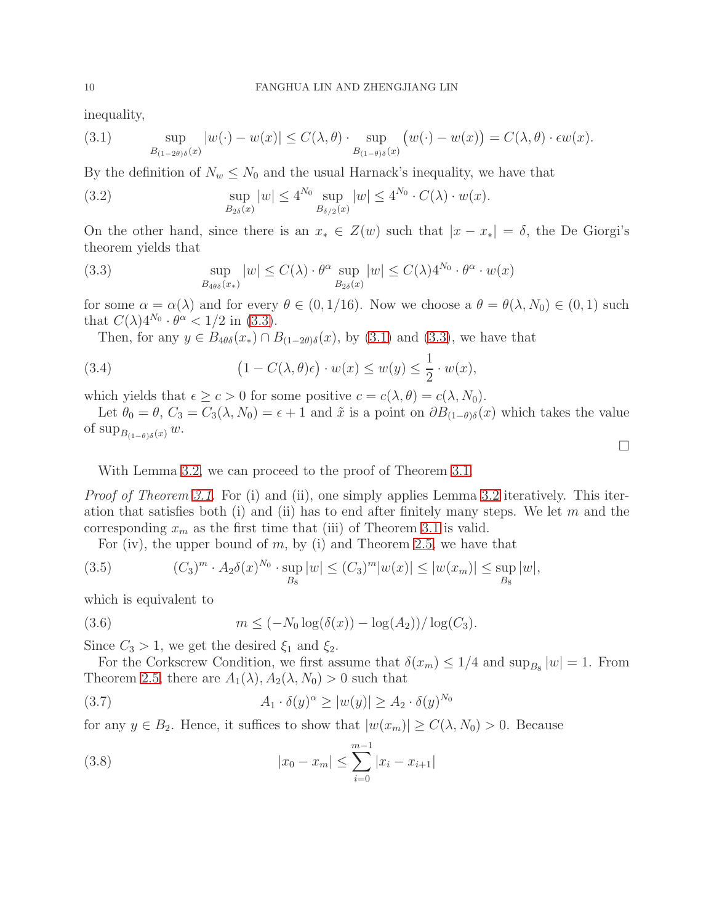inequality,

<span id="page-9-1"></span>(3.1) 
$$
\sup_{B_{(1-2\theta)\delta}(x)} |w(\cdot) - w(x)| \le C(\lambda, \theta) \cdot \sup_{B_{(1-\theta)\delta}(x)} (w(\cdot) - w(x)) = C(\lambda, \theta) \cdot \epsilon w(x).
$$

By the definition of  $N_w \leq N_0$  and the usual Harnack's inequality, we have that

(3.2) 
$$
\sup_{B_{2\delta}(x)} |w| \le 4^{N_0} \sup_{B_{\delta/2}(x)} |w| \le 4^{N_0} \cdot C(\lambda) \cdot w(x).
$$

On the other hand, since there is an  $x_* \in Z(w)$  such that  $|x - x_*| = \delta$ , the De Giorgi's theorem yields that

<span id="page-9-0"></span>(3.3) 
$$
\sup_{B_{4\theta\delta}(x_*)} |w| \leq C(\lambda) \cdot \theta^{\alpha} \sup_{B_{2\delta}(x)} |w| \leq C(\lambda) 4^{N_0} \cdot \theta^{\alpha} \cdot w(x)
$$

for some  $\alpha = \alpha(\lambda)$  and for every  $\theta \in (0, 1/16)$ . Now we choose a  $\theta = \theta(\lambda, N_0) \in (0, 1)$  such that  $C(\lambda)4^{N_0} \cdot \theta^{\alpha} < 1/2$  in [\(3.3\)](#page-9-0).

Then, for any  $y \in B_{4\theta\delta}(x_*) \cap B_{(1-2\theta)\delta}(x)$ , by [\(3.1\)](#page-9-1) and [\(3.3\)](#page-9-0), we have that

(3.4) 
$$
(1 - C(\lambda, \theta)\epsilon) \cdot w(x) \le w(y) \le \frac{1}{2} \cdot w(x),
$$

which yields that  $\epsilon \geq c > 0$  for some positive  $c = c(\lambda, \theta) = c(\lambda, N_0)$ .

Let  $\theta_0 = \theta$ ,  $C_3 = C_3(\lambda, N_0) = \epsilon + 1$  and  $\tilde{x}$  is a point on  $\partial B_{(1-\theta)\delta}(x)$  which takes the value of sup<sub>B(1−θ)δ</sub>(x) w.

With Lemma [3.2,](#page-8-0) we can proceed to the proof of Theorem [3.1.](#page-8-1)

*Proof of Theorem [3.1.](#page-8-1)* For (i) and (ii), one simply applies Lemma [3.2](#page-8-0) iteratively. This iteration that satisfies both (i) and (ii) has to end after finitely many steps. We let  $m$  and the corresponding  $x_m$  as the first time that (iii) of Theorem [3.1](#page-8-1) is valid.

For (iv), the upper bound of  $m$ , by (i) and Theorem [2.5,](#page-6-1) we have that

(3.5) 
$$
(C_3)^m \cdot A_2 \delta(x)^{N_0} \cdot \sup_{B_8} |w| \le (C_3)^m |w(x)| \le |w(x_m)| \le \sup_{B_8} |w|,
$$

which is equivalent to

(3.6) 
$$
m \le (-N_0 \log(\delta(x)) - \log(A_2)) / \log(C_3).
$$

Since  $C_3 > 1$ , we get the desired  $\xi_1$  and  $\xi_2$ .

For the Corkscrew Condition, we first assume that  $\delta(x_m) \leq 1/4$  and  $\sup_{B_8} |w| = 1$ . From Theorem [2.5,](#page-6-1) there are  $A_1(\lambda), A_2(\lambda, N_0) > 0$  such that

(3.7) 
$$
A_1 \cdot \delta(y)^{\alpha} \ge |w(y)| \ge A_2 \cdot \delta(y)^{N_0}
$$

for any  $y \in B_2$ . Hence, it suffices to show that  $|w(x_m)| \ge C(\lambda, N_0) > 0$ . Because

(3.8) 
$$
|x_0 - x_m| \le \sum_{i=0}^{m-1} |x_i - x_{i+1}|
$$

 $\Box$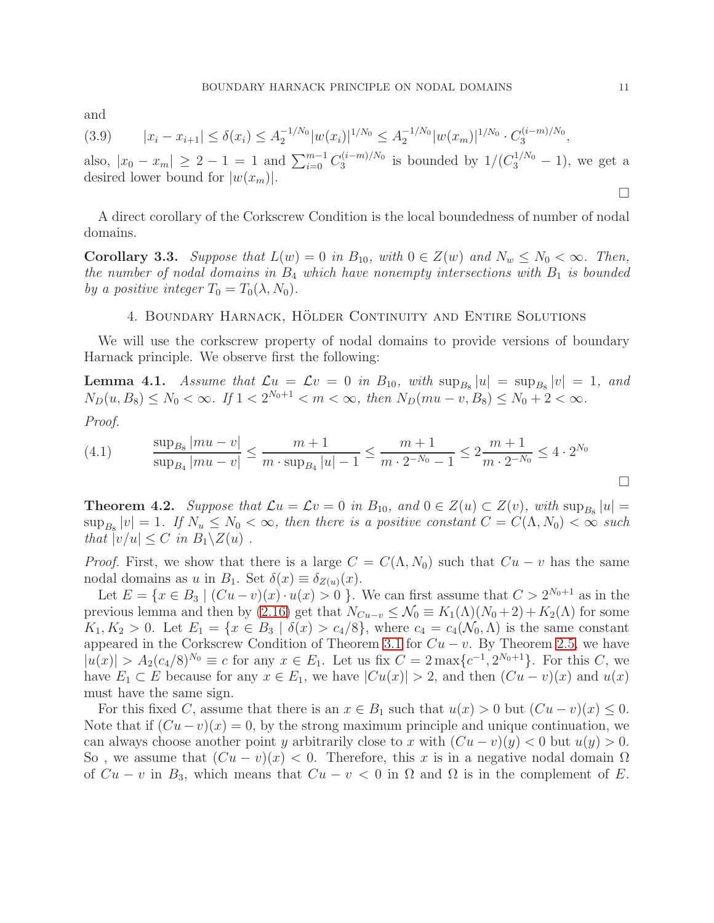and

$$
(3.9) \t |x_i - x_{i+1}| \le \delta(x_i) \le A_2^{-1/N_0} |w(x_i)|^{1/N_0} \le A_2^{-1/N_0} |w(x_m)|^{1/N_0} \cdot C_3^{(i-m)/N_0},
$$

also,  $|x_0 - x_m| \ge 2 - 1 = 1$  and  $\sum_{i=0}^{m-1} C_3^{(i-m)/N_0}$  $\frac{3^{(i-m)/N_0}}{3}$  is bounded by  $1/(C_3^{1/N_0}-1)$ , we get a desired lower bound for  $|w(x_m)|$ .

A direct corollary of the Corkscrew Condition is the local boundedness of number of nodal domains.

<span id="page-10-2"></span>**Corollary 3.3.** *Suppose that*  $L(w) = 0$  *in*  $B_{10}$ *, with*  $0 \in Z(w)$  *and*  $N_w \le N_0 < \infty$ *. Then, the number of nodal domains in*  $B_4$  *which have nonempty intersections with*  $B_1$  *is bounded by a positive integer*  $T_0 = T_0(\lambda, N_0)$ .

### 4. BOUNDARY HARNACK, HÖLDER CONTINUITY AND ENTIRE SOLUTIONS

<span id="page-10-1"></span>We will use the corkscrew property of nodal domains to provide versions of boundary Harnack principle. We observe first the following:

**Lemma 4.1.** *Assume that*  $\mathcal{L}u = \mathcal{L}v = 0$  in  $B_{10}$ , with  $\sup_{B_8} |u| = \sup_{B_8} |v| = 1$ , and  $N_D(u, B_8) \le N_0 < \infty$ . If  $1 < 2^{N_0+1} < m < \infty$ , then  $N_D(mu - v, B_8) \le N_0 + 2 < \infty$ .

*Proof.*

(4.1) 
$$
\frac{\sup_{B_8} |mu - v|}{\sup_{B_4} |mu - v|} \le \frac{m+1}{m \cdot \sup_{B_4} |u| - 1} \le \frac{m+1}{m \cdot 2^{-N_0} - 1} \le 2 \frac{m+1}{m \cdot 2^{-N_0}} \le 4 \cdot 2^{N_0}
$$

<span id="page-10-0"></span>**Theorem 4.2.** *Suppose that*  $\mathcal{L}u = \mathcal{L}v = 0$  *in*  $B_{10}$ *, and*  $0 \in Z(u) \subset Z(v)$ *, with*  $\sup_{B_8} |u| =$  $\sup_{B_8}|v| = 1$ . If  $N_u \leq N_0 < \infty$ , then there is a positive constant  $C = C(\Lambda, N_0) < \infty$  such *that*  $|v/u| \leq C$  *in*  $B_1 \setminus Z(u)$ .

*Proof.* First, we show that there is a large  $C = C(\Lambda, N_0)$  such that  $Cu - v$  has the same nodal domains as u in  $B_1$ . Set  $\delta(x) \equiv \delta_{Z(u)}(x)$ .

Let  $E = \{x \in B_3 \mid (Cu - v)(x) \cdot u(x) > 0 \}$ . We can first assume that  $C > 2^{N_0+1}$  as in the previous lemma and then by [\(2.16\)](#page-6-2) get that  $N_{Cu-v} \leq \mathcal{N}_0 \equiv K_1(\Lambda)(N_0 + 2) + K_2(\Lambda)$  for some  $K_1, K_2 > 0$ . Let  $E_1 = \{x \in B_3 \mid \delta(x) > c_4/8\}$ , where  $c_4 = c_4(\mathcal{N}_0, \Lambda)$  is the same constant appeared in the Corkscrew Condition of Theorem [3.1](#page-8-1) for  $Cu - v$ . By Theorem [2.5,](#page-6-1) we have  $|u(x)| > A_2(c_4/8)^{N_0} \equiv c$  for any  $x \in E_1$ . Let us fix  $C = 2 \max\{c^{-1}, 2^{N_0+1}\}$ . For this C, we have  $E_1 \subset E$  because for any  $x \in E_1$ , we have  $|Cu(x)| > 2$ , and then  $(Cu - v)(x)$  and  $u(x)$ must have the same sign.

For this fixed C, assume that there is an  $x \in B_1$  such that  $u(x) > 0$  but  $(Cu - v)(x) \leq 0$ . Note that if  $(Cu - v)(x) = 0$ , by the strong maximum principle and unique continuation, we can always choose another point y arbitrarily close to x with  $(Cu - v)(y) < 0$  but  $u(y) > 0$ . So, we assume that  $(Cu - v)(x) < 0$ . Therefore, this x is in a negative nodal domain  $\Omega$ of  $Cu - v$  in B<sub>3</sub>, which means that  $Cu - v < 0$  in  $\Omega$  and  $\Omega$  is in the complement of E.

 $\Box$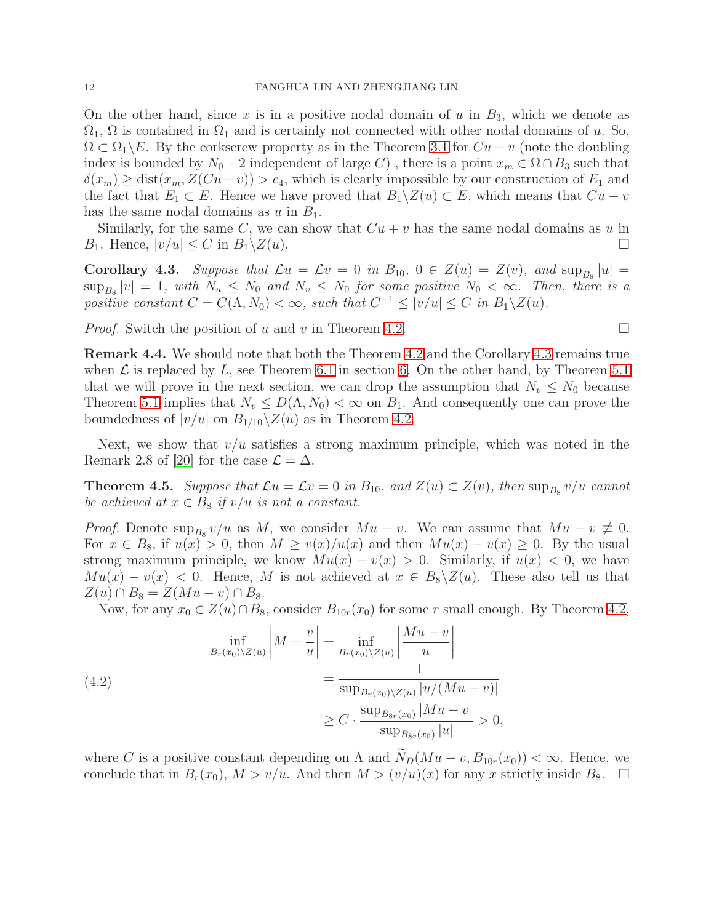On the other hand, since x is in a positive nodal domain of u in  $B_3$ , which we denote as  $\Omega_1$ ,  $\Omega$  is contained in  $\Omega_1$  and is certainly not connected with other nodal domains of u. So,  $\Omega \subset \Omega_1 \backslash E$ . By the corkscrew property as in the Theorem [3.1](#page-8-1) for  $Cu - v$  (note the doubling index is bounded by  $N_0 + 2$  independent of large C), there is a point  $x_m \in \Omega \cap B_3$  such that  $\delta(x_m) \geq \text{dist}(x_m, Z(Cu - v)) > c_4$ , which is clearly impossible by our construction of  $E_1$  and the fact that  $E_1 \subset E$ . Hence we have proved that  $B_1 \setminus Z(u) \subset E$ , which means that  $Cu - v$ has the same nodal domains as u in  $B_1$ .

Similarly, for the same C, we can show that  $Cu + v$  has the same nodal domains as u in  $B_1$ . Hence,  $|v/u| \leq C$  in  $B_1 \setminus Z(u)$ .

<span id="page-11-0"></span>**Corollary 4.3.** Suppose that  $\mathcal{L}u = \mathcal{L}v = 0$  in  $B_{10}$ ,  $0 \in Z(u) = Z(v)$ , and  $\sup_{B_8} |u| =$  $\sup_{B_8}|v| = 1$ , with  $N_u \le N_0$  and  $N_v \le N_0$  for some positive  $N_0 < \infty$ . Then, there is a *positive constant*  $C = C(\Lambda, N_0) < \infty$ , such that  $C^{-1} \le |v/u| \le C$  in  $B_1 \setminus Z(u)$ .

*Proof.* Switch the position of u and v in Theorem [4.2.](#page-10-0)

Remark 4.4. We should note that both the Theorem [4.2](#page-10-0) and the Corollary [4.3](#page-11-0) remains true when  $\mathcal L$  is replaced by L, see Theorem [6.1](#page-17-0) in section [6.](#page-16-0) On the other hand, by Theorem [5.1](#page-14-1) that we will prove in the next section, we can drop the assumption that  $N_v \leq N_0$  because Theorem [5.1](#page-14-1) implies that  $N_v \leq D(\Lambda, N_0) < \infty$  on  $B_1$ . And consequently one can prove the boundedness of  $|v/u|$  on  $B_{1/10}\backslash Z(u)$  as in Theorem [4.2.](#page-10-0)

Next, we show that  $v/u$  satisfies a strong maximum principle, which was noted in the Remark 2.8 of [\[20\]](#page-22-3) for the case  $\mathcal{L} = \Delta$ .

<span id="page-11-1"></span>**Theorem 4.5.** Suppose that  $\mathcal{L}u = \mathcal{L}v = 0$  in  $B_{10}$ , and  $Z(u) \subset Z(v)$ , then  $\sup_{B_8} v/u$  cannot *be achieved at*  $x \in B_8$  *if*  $v/u$  *is not a constant.* 

*Proof.* Denote  $\sup_{B_8} v/u$  as M, we consider  $Mu - v$ . We can assume that  $Mu - v \neq 0$ . For  $x \in B_8$ , if  $u(x) > 0$ , then  $M \ge v(x)/u(x)$  and then  $Mu(x) - v(x) \ge 0$ . By the usual strong maximum principle, we know  $Mu(x) - v(x) > 0$ . Similarly, if  $u(x) < 0$ , we have  $Mu(x) - v(x) < 0$ . Hence, M is not achieved at  $x \in B_8 \backslash Z(u)$ . These also tell us that  $Z(u) \cap B_8 = Z(Mu - v) \cap B_8.$ 

Now, for any  $x_0 \in Z(u) \cap B_8$ , consider  $B_{10r}(x_0)$  for some r small enough. By Theorem [4.2,](#page-10-0)

(4.2) 
$$
\inf_{B_r(x_0)\setminus Z(u)} \left|M - \frac{v}{u}\right| = \inf_{B_r(x_0)\setminus Z(u)} \left|\frac{Mu - v}{u}\right| \n= \frac{1}{\sup_{B_r(x_0)\setminus Z(u)} |u/(Mu - v)|} \n\ge C \cdot \frac{\sup_{B_{s_r}(x_0)} |Mu - v|}{\sup_{B_{s_r}(x_0)} |u|} > 0,
$$

where C is a positive constant depending on  $\Lambda$  and  $\widetilde{N}_D(Mu - v, B_{10r}(x_0)) < \infty$ . Hence, we conclude that in  $B_r(x_0)$ ,  $M > v/u$ . And then  $M > (v/u)(x)$  for any x strictly inside  $B_8$ .  $\Box$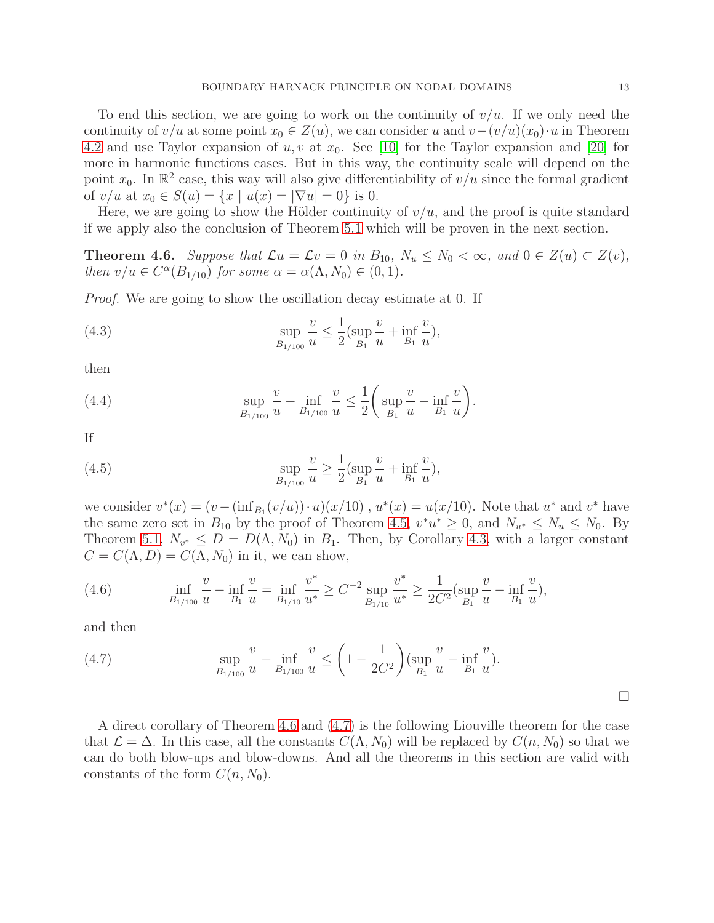To end this section, we are going to work on the continuity of  $v/u$ . If we only need the continuity of  $v/u$  at some point  $x_0 \in Z(u)$ , we can consider u and  $v-(v/u)(x_0) \cdot u$  in Theorem [4.2](#page-10-0) and use Taylor expansion of  $u, v$  at  $x_0$ . See [\[10\]](#page-22-17) for the Taylor expansion and [\[20\]](#page-22-3) for more in harmonic functions cases. But in this way, the continuity scale will depend on the point  $x_0$ . In  $\mathbb{R}^2$  case, this way will also give differentiability of  $v/u$  since the formal gradient of  $v/u$  at  $x_0 \in S(u) = \{x \mid u(x) = |\nabla u| = 0\}$  is 0.

Here, we are going to show the Hölder continuity of  $v/u$ , and the proof is quite standard if we apply also the conclusion of Theorem [5.1](#page-14-1) which will be proven in the next section.

<span id="page-12-0"></span>**Theorem 4.6.** *Suppose that*  $\mathcal{L}u = \mathcal{L}v = 0$  *in*  $B_{10}$ *,*  $N_u \leq N_0 < \infty$ *, and*  $0 \in Z(u) \subset Z(v)$ *, then*  $v/u \in C^{\alpha}(B_{1/10})$  *for some*  $\alpha = \alpha(\Lambda, N_0) \in (0, 1)$ *.* 

*Proof.* We are going to show the oscillation decay estimate at 0. If

(4.3) 
$$
\sup_{B_{1/100}} \frac{v}{u} \le \frac{1}{2} (\sup_{B_1} \frac{v}{u} + \inf_{B_1} \frac{v}{u}),
$$

then

(4.4) 
$$
\sup_{B_{1/100}} \frac{v}{u} - \inf_{B_{1/100}} \frac{v}{u} \le \frac{1}{2} \bigg( \sup_{B_1} \frac{v}{u} - \inf_{B_1} \frac{v}{u} \bigg)
$$

If

(4.5) 
$$
\sup_{B_{1/100}} \frac{v}{u} \ge \frac{1}{2} (\sup_{B_1} \frac{v}{u} + \inf_{B_1} \frac{v}{u}),
$$

we consider  $v^*(x) = (v - (\inf_{B_1}(v/u)) \cdot u)(x/10)$ ,  $u^*(x) = u(x/10)$ . Note that  $u^*$  and  $v^*$  have the same zero set in  $B_{10}$  by the proof of Theorem [4.5,](#page-11-1)  $v^*u^* \geq 0$ , and  $N_{u^*} \leq N_u \leq N_0$ . By Theorem [5.1,](#page-14-1)  $N_{v^*} \le D = D(\Lambda, N_0)$  in  $B_1$ . Then, by Corollary [4.3,](#page-11-0) with a larger constant  $C = C(\Lambda, D) = C(\Lambda, N_0)$  in it, we can show,

.

(4.6) 
$$
\inf_{B_{1/100}} \frac{v}{u} - \inf_{B_1} \frac{v}{u} = \inf_{B_{1/10}} \frac{v^*}{u^*} \ge C^{-2} \sup_{B_{1/10}} \frac{v^*}{u^*} \ge \frac{1}{2C^2} (\sup_{B_1} \frac{v}{u} - \inf_{B_1} \frac{v}{u}),
$$

and then

<span id="page-12-1"></span>(4.7) 
$$
\sup_{B_{1/100}} \frac{v}{u} - \inf_{B_{1/100}} \frac{v}{u} \le \left(1 - \frac{1}{2C^2}\right) \left(\sup_{B_1} \frac{v}{u} - \inf_{B_1} \frac{v}{u}\right).
$$

 $\Box$ 

A direct corollary of Theorem [4.6](#page-12-0) and [\(4.7\)](#page-12-1) is the following Liouville theorem for the case that  $\mathcal{L} = \Delta$ . In this case, all the constants  $C(\Lambda, N_0)$  will be replaced by  $C(n, N_0)$  so that we can do both blow-ups and blow-downs. And all the theorems in this section are valid with constants of the form  $C(n, N_0)$ .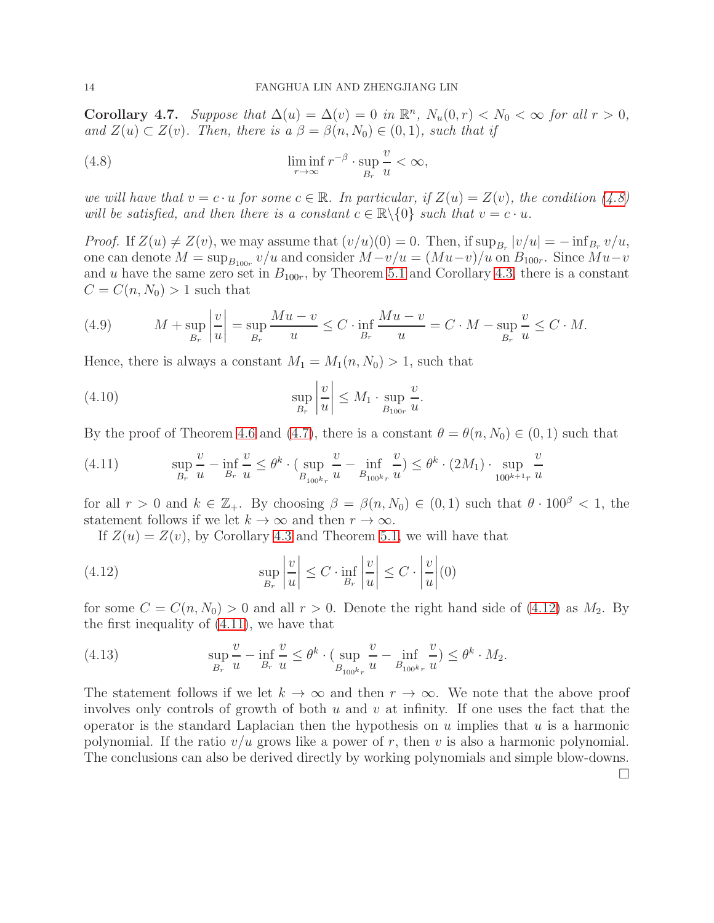<span id="page-13-0"></span>**Corollary 4.7.** *Suppose that*  $\Delta(u) = \Delta(v) = 0$  *in*  $\mathbb{R}^n$ *,*  $N_u(0,r) < N_0 < \infty$  *for all*  $r > 0$ *,* and  $Z(u) \subset Z(v)$ *. Then, there is a*  $\beta = \beta(n, N_0) \in (0, 1)$ *, such that if* 

<span id="page-13-1"></span>(4.8) 
$$
\liminf_{r \to \infty} r^{-\beta} \cdot \sup_{B_r} \frac{v}{u} < \infty,
$$

*we will have that*  $v = c \cdot u$  *for some*  $c \in \mathbb{R}$ *. In particular, if*  $Z(u) = Z(v)$ *, the condition* [\(4.8\)](#page-13-1) *will be satisfied, and then there is a constant*  $c \in \mathbb{R} \backslash \{0\}$  *such that*  $v = c \cdot u$ *.* 

*Proof.* If  $Z(u) \neq Z(v)$ , we may assume that  $(v/u)(0) = 0$ . Then, if  $\sup_{B_r} |v/u| = -\inf_{B_r} v/u$ , one can denote  $M = \sup_{B_{100r}} v/u$  and consider  $M - v/u = (Mu - v)/u$  on  $B_{100r}$ . Since  $Mu - v$ and u have the same zero set in  $B_{100r}$ , by Theorem [5.1](#page-14-1) and Corollary [4.3,](#page-11-0) there is a constant  $C = C(n, N_0) > 1$  such that

(4.9) 
$$
M + \sup_{B_r} \left| \frac{v}{u} \right| = \sup_{B_r} \frac{Mu - v}{u} \le C \cdot \inf_{B_r} \frac{Mu - v}{u} = C \cdot M - \sup_{B_r} \frac{v}{u} \le C \cdot M.
$$

Hence, there is always a constant  $M_1 = M_1(n, N_0) > 1$ , such that

(4.10) 
$$
\sup_{B_r} \left| \frac{v}{u} \right| \leq M_1 \cdot \sup_{B_{100r}} \frac{v}{u}.
$$

By the proof of Theorem [4.6](#page-12-0) and [\(4.7\)](#page-12-1), there is a constant  $\theta = \theta(n, N_0) \in (0, 1)$  such that

<span id="page-13-3"></span>(4.11) 
$$
\sup_{B_r} \frac{v}{u} - \inf_{B_r} \frac{v}{u} \leq \theta^k \cdot (\sup_{B_{100^k r}} \frac{v}{u} - \inf_{B_{100^k r}} \frac{v}{u}) \leq \theta^k \cdot (2M_1) \cdot \sup_{100^{k+1} r} \frac{v}{u}
$$

for all  $r > 0$  and  $k \in \mathbb{Z}_+$ . By choosing  $\beta = \beta(n, N_0) \in (0, 1)$  such that  $\theta \cdot 100^{\beta} < 1$ , the statement follows if we let  $k \to \infty$  and then  $r \to \infty$ .

<span id="page-13-2"></span>If  $Z(u) = Z(v)$ , by Corollary [4.3](#page-11-0) and Theorem [5.1,](#page-14-1) we will have that

(4.12) 
$$
\sup_{B_r} \left| \frac{v}{u} \right| \leq C \cdot \inf_{B_r} \left| \frac{v}{u} \right| \leq C \cdot \left| \frac{v}{u} \right| (0)
$$

for some  $C = C(n, N_0) > 0$  and all  $r > 0$ . Denote the right hand side of [\(4.12\)](#page-13-2) as  $M_2$ . By the first inequality of [\(4.11\)](#page-13-3), we have that

(4.13) 
$$
\sup_{B_r} \frac{v}{u} - \inf_{B_r} \frac{v}{u} \leq \theta^k \cdot (\sup_{B_{100^k r}} \frac{v}{u} - \inf_{B_{100^k r}} \frac{v}{u}) \leq \theta^k \cdot M_2.
$$

The statement follows if we let  $k \to \infty$  and then  $r \to \infty$ . We note that the above proof involves only controls of growth of both u and v at infinity. If one uses the fact that the operator is the standard Laplacian then the hypothesis on  $u$  implies that  $u$  is a harmonic polynomial. If the ratio  $v/u$  grows like a power of r, then v is also a harmonic polynomial. The conclusions can also be derived directly by working polynomials and simple blow-downs.

 $\Box$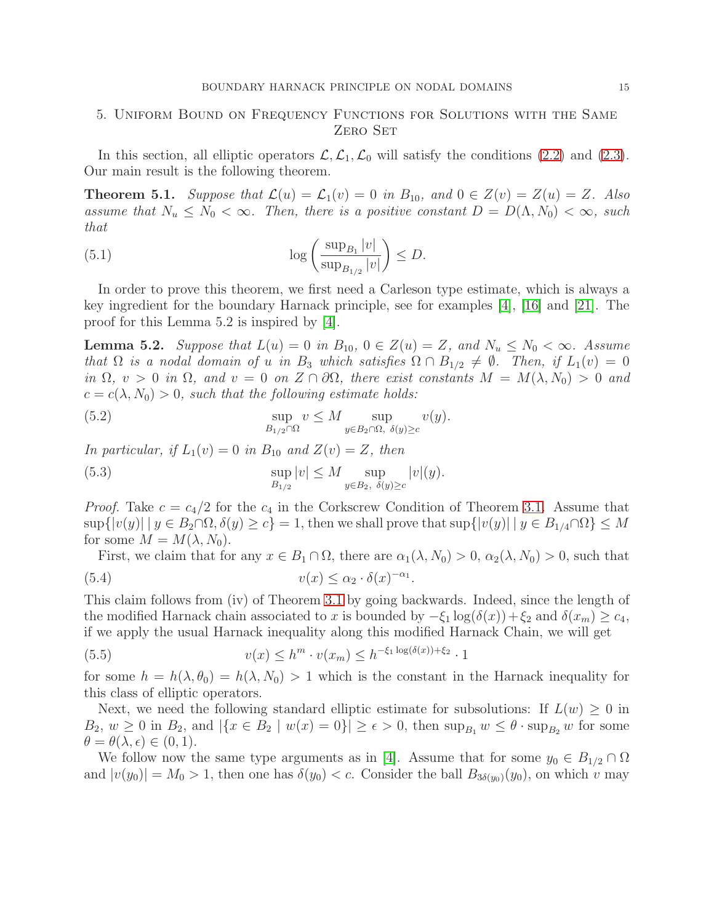# <span id="page-14-0"></span>5. Uniform Bound on Frequency Functions for Solutions with the Same ZERO SET

In this section, all elliptic operators  $\mathcal{L}, \mathcal{L}_1, \mathcal{L}_0$  will satisfy the conditions [\(2.2\)](#page-4-0) and [\(2.3\)](#page-4-1). Our main result is the following theorem.

<span id="page-14-1"></span>**Theorem 5.1.** *Suppose that*  $\mathcal{L}(u) = \mathcal{L}_1(v) = 0$  *in*  $B_{10}$ *, and*  $0 \in Z(v) = Z(u) = Z$ *. Also assume that*  $N_u \leq N_0 < \infty$ *. Then, there is a positive constant*  $D = D(\Lambda, N_0) < \infty$ *, such that*

(5.1) 
$$
\log\left(\frac{\sup_{B_1}|v|}{\sup_{B_{1/2}}|v|}\right) \leq D.
$$

In order to prove this theorem, we first need a Carleson type estimate, which is always a key ingredient for the boundary Harnack principle, see for examples [\[4\]](#page-21-1), [\[16\]](#page-22-2) and [\[21\]](#page-22-4). The proof for this Lemma 5.2 is inspired by [\[4\]](#page-21-1).

<span id="page-14-3"></span>**Lemma 5.2.** Suppose that  $L(u) = 0$  in  $B_{10}$ ,  $0 \in Z(u) = Z$ , and  $N_u \le N_0 < \infty$ . Assume *that*  $\Omega$  *is a nodal domain of u in*  $B_3$  *which satisfies*  $\Omega \cap B_{1/2} \neq \emptyset$ *. Then, if*  $L_1(v) = 0$ *in*  $\Omega$ ,  $v > 0$  *in*  $\Omega$ , and  $v = 0$  *on*  $Z \cap \partial \Omega$ , there exist constants  $M = M(\lambda, N_0) > 0$  and  $c = c(\lambda, N_0) > 0$ , such that the following estimate holds:

(5.2) 
$$
\sup_{B_{1/2} \cap \Omega} v \leq M \sup_{y \in B_2 \cap \Omega, \ \delta(y) \geq c} v(y).
$$

*In particular, if*  $L_1(v) = 0$  *in*  $B_{10}$  *and*  $Z(v) = Z$ *, then* 

(5.3) 
$$
\sup_{B_{1/2}} |v| \leq M \sup_{y \in B_2, \ \delta(y) \geq c} |v|(y).
$$

*Proof.* Take  $c = c_4/2$  for the  $c_4$  in the Corkscrew Condition of Theorem [3.1.](#page-8-1) Assume that  $\sup\{|v(y)| \mid y \in B_2 \cap \Omega, \delta(y) \ge c\} = 1$ , then we shall prove that  $\sup\{|v(y)| \mid y \in B_{1/4} \cap \Omega\} \le M$ for some  $M = M(\lambda, N_0)$ .

<span id="page-14-2"></span>First, we claim that for any  $x \in B_1 \cap \Omega$ , there are  $\alpha_1(\lambda, N_0) > 0$ ,  $\alpha_2(\lambda, N_0) > 0$ , such that (5.4)  $v(x) \leq \alpha_2 \cdot \delta(x)^{-\alpha_1}.$ 

This claim follows from (iv) of Theorem [3.1](#page-8-1) by going backwards. Indeed, since the length of the modified Harnack chain associated to x is bounded by  $-\xi_1 \log(\delta(x)) + \xi_2$  and  $\delta(x_m) \ge c_4$ , if we apply the usual Harnack inequality along this modified Harnack Chain, we will get

(5.5) 
$$
v(x) \le h^m \cdot v(x_m) \le h^{-\xi_1 \log(\delta(x)) + \xi_2} \cdot 1
$$

for some  $h = h(\lambda, \theta_0) = h(\lambda, N_0) > 1$  which is the constant in the Harnack inequality for this class of elliptic operators.

Next, we need the following standard elliptic estimate for subsolutions: If  $L(w) \geq 0$  in  $B_2, w \geq 0$  in  $B_2$ , and  $|\{x \in B_2 \mid w(x) = 0\}| \geq \epsilon > 0$ , then  $\sup_{B_1} w \leq \theta \cdot \sup_{B_2} w$  for some  $\theta = \theta(\lambda, \epsilon) \in (0, 1).$ 

We follow now the same type arguments as in [\[4\]](#page-21-1). Assume that for some  $y_0 \in B_{1/2} \cap \Omega$ and  $|v(y_0)| = M_0 > 1$ , then one has  $\delta(y_0) < c$ . Consider the ball  $B_{3\delta(y_0)}(y_0)$ , on which v may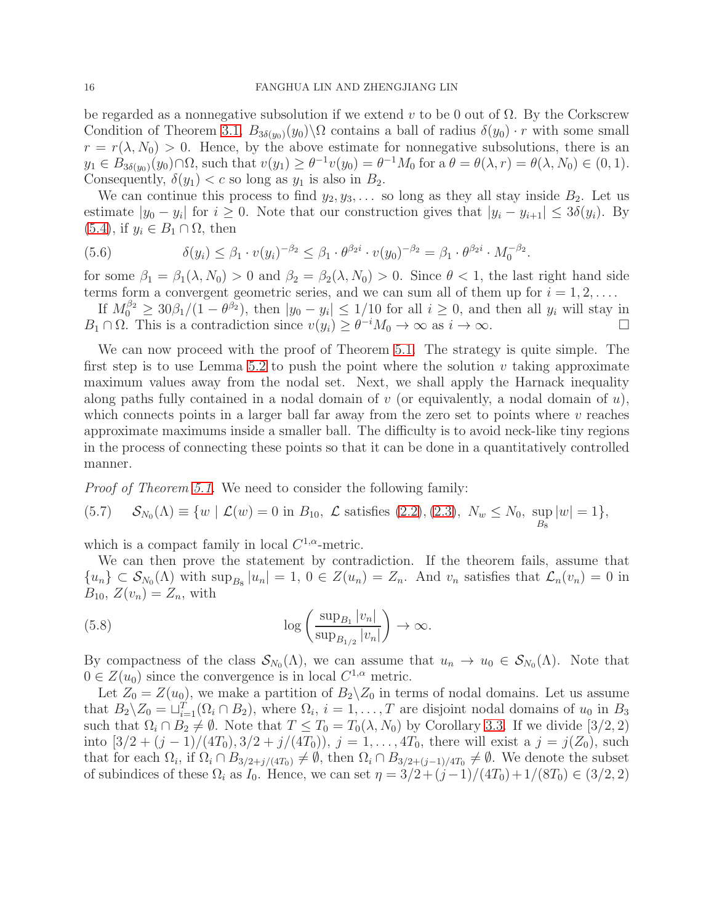be regarded as a nonnegative subsolution if we extend v to be 0 out of  $\Omega$ . By the Corkscrew Condition of Theorem [3.1,](#page-8-1)  $B_{3\delta(y_0)}(y_0)\backslash\Omega$  contains a ball of radius  $\delta(y_0) \cdot r$  with some small  $r = r(\lambda, N_0) > 0$ . Hence, by the above estimate for nonnegative subsolutions, there is an  $y_1 \in B_{3\delta(y_0)}(y_0) \cap \Omega$ , such that  $v(y_1) \ge \theta^{-1}v(y_0) = \theta^{-1}M_0$  for a  $\theta = \theta(\lambda, r) = \theta(\lambda, N_0) \in (0, 1)$ . Consequently,  $\delta(y_1) < c$  so long as  $y_1$  is also in  $B_2$ .

We can continue this process to find  $y_2, y_3, \ldots$  so long as they all stay inside  $B_2$ . Let us estimate  $|y_0 - y_i|$  for  $i \ge 0$ . Note that our construction gives that  $|y_i - y_{i+1}| \le 3\delta(y_i)$ . By  $(5.4)$ , if  $y_i \in B_1 \cap \Omega$ , then

(5.6) 
$$
\delta(y_i) \leq \beta_1 \cdot v(y_i)^{-\beta_2} \leq \beta_1 \cdot \theta^{\beta_2 i} \cdot v(y_0)^{-\beta_2} = \beta_1 \cdot \theta^{\beta_2 i} \cdot M_0^{-\beta_2}.
$$

for some  $\beta_1 = \beta_1(\lambda, N_0) > 0$  and  $\beta_2 = \beta_2(\lambda, N_0) > 0$ . Since  $\theta < 1$ , the last right hand side terms form a convergent geometric series, and we can sum all of them up for  $i = 1, 2, \ldots$ .

If  $M_0^{\beta_2} \geq 30\beta_1/(1-\theta^{\beta_2})$ , then  $|y_0 - y_i| \leq 1/10$  for all  $i \geq 0$ , and then all  $y_i$  will stay in  $B_1 \cap \Omega$ . This is a contradiction since  $v(y_i) \geq \theta^{-i} M_0 \to \infty$  as  $i \to \infty$ .

We can now proceed with the proof of Theorem [5.1.](#page-14-1) The strategy is quite simple. The first step is to use Lemma [5.2](#page-14-3) to push the point where the solution  $v$  taking approximate maximum values away from the nodal set. Next, we shall apply the Harnack inequality along paths fully contained in a nodal domain of  $v$  (or equivalently, a nodal domain of  $u$ ), which connects points in a larger ball far away from the zero set to points where  $v$  reaches approximate maximums inside a smaller ball. The difficulty is to avoid neck-like tiny regions in the process of connecting these points so that it can be done in a quantitatively controlled manner.

*Proof of Theorem [5.1.](#page-14-1)* We need to consider the following family:

(5.7) 
$$
\mathcal{S}_{N_0}(\Lambda) \equiv \{ w \mid \mathcal{L}(w) = 0 \text{ in } B_{10}, \mathcal{L} \text{ satisfies (2.2), (2.3), } N_w \le N_0, \sup_{B_8} |w| = 1 \},
$$

which is a compact family in local  $C^{1,\alpha}$ -metric.

We can then prove the statement by contradiction. If the theorem fails, assume that  ${u_n} \subset \mathcal{S}_{N_0}(\Lambda)$  with  $\sup_{B_8}|u_n|=1, 0 \in Z(u_n)=Z_n$ . And  $v_n$  satisfies that  $\mathcal{L}_n(v_n)=0$  in  $B_{10}, Z(v_n) = Z_n$ , with

<span id="page-15-0"></span>(5.8) 
$$
\log\left(\frac{\sup_{B_1}|v_n|}{\sup_{B_{1/2}}|v_n|}\right) \to \infty.
$$

By compactness of the class  $\mathcal{S}_{N_0}(\Lambda)$ , we can assume that  $u_n \to u_0 \in \mathcal{S}_{N_0}(\Lambda)$ . Note that  $0 \in Z(u_0)$  since the convergence is in local  $C^{1,\alpha}$  metric.

Let  $Z_0 = Z(u_0)$ , we make a partition of  $B_2 \backslash Z_0$  in terms of nodal domains. Let us assume that  $B_2 \setminus Z_0 = \sqcup_{i=1}^T (\Omega_i \cap B_2)$ , where  $\Omega_i$ ,  $i = 1, \ldots, T$  are disjoint nodal domains of  $u_0$  in  $B_3$ such that  $\Omega_i \cap B_2 \neq \emptyset$ . Note that  $T \leq T_0 = T_0(\lambda, N_0)$  by Corollary [3.3.](#page-10-2) If we divide [3/2, 2) into  $[3/2 + (j-1)/(4T_0), 3/2 + j/(4T_0))$ ,  $j = 1, ..., 4T_0$ , there will exist a  $j = j(Z_0)$ , such that for each  $\Omega_i$ , if  $\Omega_i \cap B_{3/2+j/(4T_0)} \neq \emptyset$ , then  $\Omega_i \cap B_{3/2+(j-1)/4T_0} \neq \emptyset$ . We denote the subset of subindices of these  $\Omega_i$  as  $I_0$ . Hence, we can set  $\eta = 3/2 + (j-1)/(4T_0) + 1/(8T_0) \in (3/2, 2)$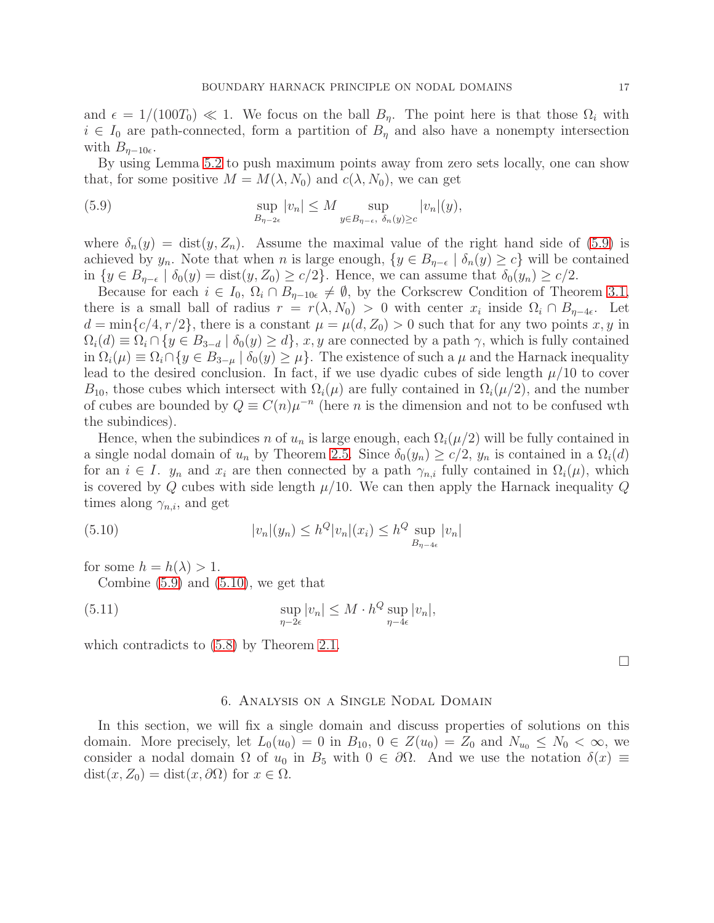and  $\epsilon = 1/(100T_0) \ll 1$ . We focus on the ball  $B_n$ . The point here is that those  $\Omega_i$  with  $i \in I_0$  are path-connected, form a partition of  $B_\eta$  and also have a nonempty intersection with  $B_{\eta-10\epsilon}$ .

By using Lemma [5.2](#page-14-3) to push maximum points away from zero sets locally, one can show that, for some positive  $M = M(\lambda, N_0)$  and  $c(\lambda, N_0)$ , we can get

<span id="page-16-1"></span>(5.9) 
$$
\sup_{B_{\eta-2\epsilon}}|v_n| \leq M \sup_{y \in B_{\eta-\epsilon}, \delta_n(y) \geq c}|v_n|(y),
$$

where  $\delta_n(y) = \text{dist}(y, Z_n)$ . Assume the maximal value of the right hand side of [\(5.9\)](#page-16-1) is achieved by  $y_n$ . Note that when n is large enough,  $\{y \in B_{\eta-\epsilon} \mid \delta_n(y) \geq c\}$  will be contained in  $\{y \in B_{\eta-\epsilon} \mid \delta_0(y) = \text{dist}(y, Z_0) \geq c/2\}$ . Hence, we can assume that  $\delta_0(y_n) \geq c/2$ .

Because for each  $i \in I_0$ ,  $\Omega_i \cap B_{\eta-10\epsilon} \neq \emptyset$ , by the Corkscrew Condition of Theorem [3.1,](#page-8-1) there is a small ball of radius  $r = r(\lambda, N_0) > 0$  with center  $x_i$  inside  $\Omega_i \cap B_{\eta-4\epsilon}$ . Let  $d = \min\{c/4, r/2\}$ , there is a constant  $\mu = \mu(d, Z_0) > 0$  such that for any two points x, y in  $\Omega_i(d) \equiv \Omega_i \cap \{y \in B_{3-d} \mid \delta_0(y) \geq d\}, x, y$  are connected by a path  $\gamma$ , which is fully contained in  $\Omega_i(\mu) \equiv \Omega_i \cap \{y \in B_{3-\mu} \mid \delta_0(y) \geq \mu\}.$  The existence of such a  $\mu$  and the Harnack inequality lead to the desired conclusion. In fact, if we use dyadic cubes of side length  $\mu/10$  to cover  $B_{10}$ , those cubes which intersect with  $\Omega_i(\mu)$  are fully contained in  $\Omega_i(\mu/2)$ , and the number of cubes are bounded by  $Q \equiv C(n)\mu^{-n}$  (here *n* is the dimension and not to be confused wth the subindices).

Hence, when the subindices n of  $u_n$  is large enough, each  $\Omega_i(\mu/2)$  will be fully contained in a single nodal domain of  $u_n$  by Theorem [2.5.](#page-6-1) Since  $\delta_0(y_n) \geq c/2$ ,  $y_n$  is contained in a  $\Omega_i(d)$ for an  $i \in I$ .  $y_n$  and  $x_i$  are then connected by a path  $\gamma_{n,i}$  fully contained in  $\Omega_i(\mu)$ , which is covered by Q cubes with side length  $\mu/10$ . We can then apply the Harnack inequality Q times along  $\gamma_{n,i}$ , and get

(5.10) 
$$
|v_n|(y_n) \le h^Q |v_n|(x_i) \le h^Q \sup_{B_{\eta-4\epsilon}} |v_n|
$$

for some  $h = h(\lambda) > 1$ .

<span id="page-16-2"></span>Combine [\(5.9\)](#page-16-1) and [\(5.10\)](#page-16-2), we get that

(5.11) 
$$
\sup_{\eta-2\epsilon} |v_n| \leq M \cdot h^Q \sup_{\eta-4\epsilon} |v_n|,
$$

<span id="page-16-0"></span>which contradicts to  $(5.8)$  by Theorem [2.1.](#page-5-0)

 $\Box$ 

### 6. Analysis on a Single Nodal Domain

In this section, we will fix a single domain and discuss properties of solutions on this domain. More precisely, let  $L_0(u_0) = 0$  in  $B_{10}$ ,  $0 \in Z(u_0) = Z_0$  and  $N_{u_0} \leq N_0 < \infty$ , we consider a nodal domain  $\Omega$  of  $u_0$  in  $B_5$  with  $0 \in \partial \Omega$ . And we use the notation  $\delta(x) \equiv$  $dist(x, Z_0) = dist(x, \partial \Omega)$  for  $x \in \Omega$ .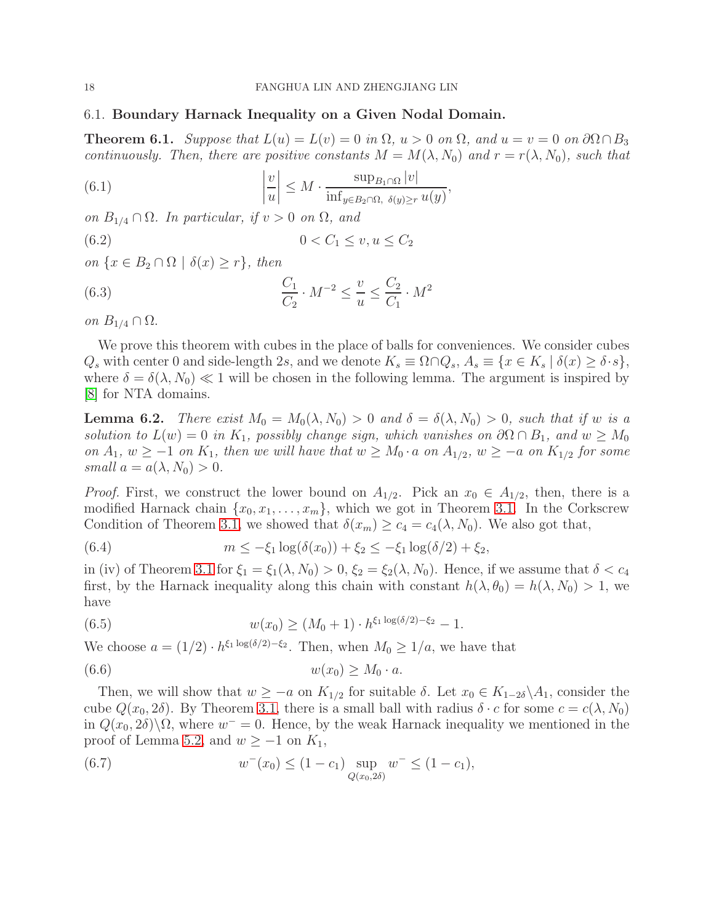## 6.1. Boundary Harnack Inequality on a Given Nodal Domain.

<span id="page-17-0"></span>**Theorem 6.1.** *Suppose that*  $L(u) = L(v) = 0$  *in*  $\Omega$ ,  $u > 0$  *on*  $\Omega$ , and  $u = v = 0$  *on*  $\partial \Omega \cap B_3$ *continuously. Then, there are positive constants*  $M = M(\lambda, N_0)$  *and*  $r = r(\lambda, N_0)$ *, such that* 

<span id="page-17-2"></span>(6.1) 
$$
\left|\frac{v}{u}\right| \leq M \cdot \frac{\sup_{B_1 \cap \Omega} |v|}{\inf_{y \in B_2 \cap \Omega, \ \delta(y) \geq r} u(y)},
$$

*on*  $B_{1/4} \cap \Omega$ *. In particular, if*  $v > 0$  *on*  $\Omega$ *, and* 

$$
(6.2) \t\t 0 < C_1 \le v, u \le C_2
$$

*on*  $\{x \in B_2 \cap \Omega \mid \delta(x) \geq r\}$ *, then* 

<span id="page-17-3"></span>(6.3) 
$$
\frac{C_1}{C_2} \cdot M^{-2} \le \frac{v}{u} \le \frac{C_2}{C_1} \cdot M^2
$$

*on*  $B_{1/4} \cap \Omega$ .

We prove this theorem with cubes in the place of balls for conveniences. We consider cubes  $Q_s$  with center 0 and side-length 2s, and we denote  $K_s \equiv \Omega \cap Q_s$ ,  $A_s \equiv \{x \in K_s \mid \delta(x) \ge \delta \cdot s\},$ where  $\delta = \delta(\lambda, N_0) \ll 1$  will be chosen in the following lemma. The argument is inspired by [\[8\]](#page-22-18) for NTA domains.

<span id="page-17-1"></span>**Lemma 6.2.** *There exist*  $M_0 = M_0(\lambda, N_0) > 0$  *and*  $\delta = \delta(\lambda, N_0) > 0$ *, such that if* w *is a solution to*  $L(w) = 0$  *in*  $K_1$ *, possibly change sign, which vanishes on*  $\partial\Omega \cap B_1$ *, and*  $w \geq M_0$ *on*  $A_1, w \ge -1$  *on*  $K_1$ *, then we will have that*  $w \ge M_0 \cdot a$  *on*  $A_{1/2}$ *,*  $w \ge -a$  *on*  $K_{1/2}$  *for some*  $small a = a(\lambda, N_0) > 0.$ 

*Proof.* First, we construct the lower bound on  $A_{1/2}$ . Pick an  $x_0 \in A_{1/2}$ , then, there is a modified Harnack chain  $\{x_0, x_1, \ldots, x_m\}$ , which we got in Theorem [3.1.](#page-8-1) In the Corkscrew Condition of Theorem [3.1,](#page-8-1) we showed that  $\delta(x_m) \geq c_4 = c_4(\lambda, N_0)$ . We also got that,

(6.4) 
$$
m \leq -\xi_1 \log(\delta(x_0)) + \xi_2 \leq -\xi_1 \log(\delta/2) + \xi_2,
$$

in (iv) of Theorem [3.1](#page-8-1) for  $\xi_1 = \xi_1(\lambda, N_0) > 0$ ,  $\xi_2 = \xi_2(\lambda, N_0)$ . Hence, if we assume that  $\delta < c_4$ first, by the Harnack inequality along this chain with constant  $h(\lambda, \theta_0) = h(\lambda, N_0) > 1$ , we have

(6.5) 
$$
w(x_0) \ge (M_0 + 1) \cdot h^{\xi_1 \log(\delta/2) - \xi_2} - 1.
$$

We choose  $a = (1/2) \cdot h^{\xi_1 \log(\delta/2) - \xi_2}$ . Then, when  $M_0 \geq 1/a$ , we have that

$$
(6.6) \t\t\t w(x_0) \ge M_0 \cdot a.
$$

Then, we will show that  $w \geq -a$  on  $K_{1/2}$  for suitable  $\delta$ . Let  $x_0 \in K_{1-2\delta} \backslash A_1$ , consider the cube  $Q(x_0, 2\delta)$ . By Theorem [3.1,](#page-8-1) there is a small ball with radius  $\delta \cdot c$  for some  $c = c(\lambda, N_0)$ in  $Q(x_0, 2\delta)\backslash\Omega$ , where  $w^- = 0$ . Hence, by the weak Harnack inequality we mentioned in the proof of Lemma [5.2,](#page-14-3) and  $w \ge -1$  on  $K_1$ ,

(6.7) 
$$
w^{-}(x_0) \le (1 - c_1) \sup_{Q(x_0, 2\delta)} w^{-} \le (1 - c_1),
$$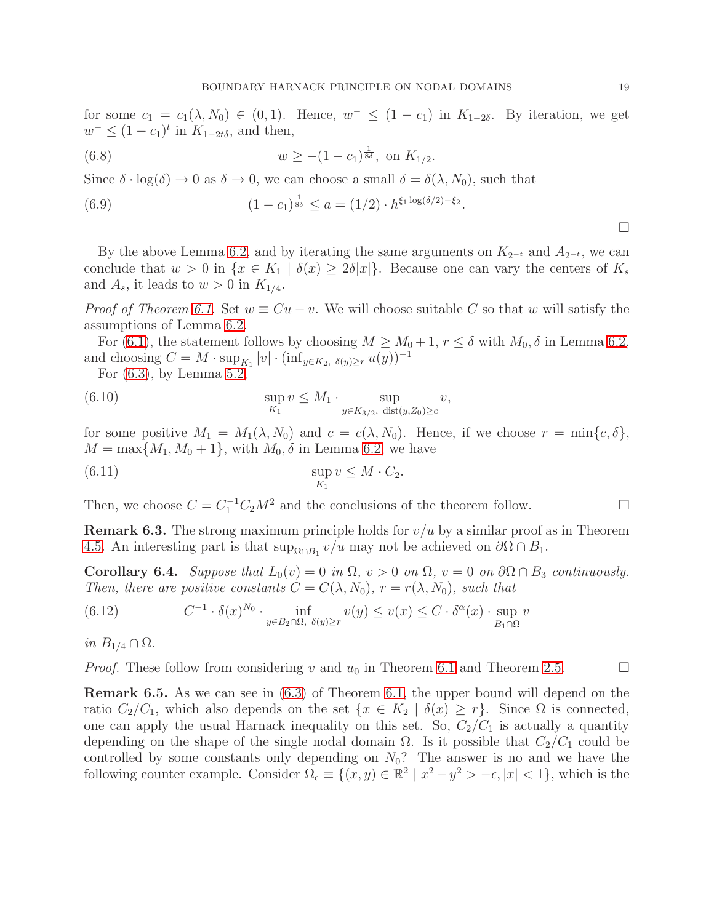for some  $c_1 = c_1(\lambda, N_0) \in (0, 1)$ . Hence,  $w^- \leq (1 - c_1)$  in  $K_{1-2\delta}$ . By iteration, we get  $w^- \leq (1 - c_1)^t$  in  $K_{1-2t\delta}$ , and then,

(6.8) 
$$
w \ge -(1 - c_1)^{\frac{1}{8\delta}}, \text{ on } K_{1/2}.
$$

Since  $\delta \cdot \log(\delta) \to 0$  as  $\delta \to 0$ , we can choose a small  $\delta = \delta(\lambda, N_0)$ , such that

(6.9) 
$$
(1 - c_1)^{\frac{1}{8\delta}} \le a = (1/2) \cdot h^{\xi_1 \log(\delta/2) - \xi_2}.
$$

By the above Lemma [6.2,](#page-17-1) and by iterating the same arguments on  $K_{2^{-t}}$  and  $A_{2^{-t}}$ , we can conclude that  $w > 0$  in  $\{x \in K_1 \mid \delta(x) \geq 2\delta |x|\}.$  Because one can vary the centers of  $K_s$ and  $A_s$ , it leads to  $w > 0$  in  $K_{1/4}$ .

*Proof of Theorem [6.1.](#page-17-0)* Set  $w \equiv Cu - v$ . We will choose suitable C so that w will satisfy the assumptions of Lemma [6.2.](#page-17-1)

For [\(6.1\)](#page-17-2), the statement follows by choosing  $M \geq M_0 + 1$ ,  $r \leq \delta$  with  $M_0$ ,  $\delta$  in Lemma [6.2,](#page-17-1) and choosing  $C = M \cdot \sup_{K_1} |v| \cdot (\inf_{y \in K_2, \delta(y) \ge r} u(y))^{-1}$ 

For [\(6.3\)](#page-17-3), by Lemma [5.2,](#page-14-3)

(6.10) 
$$
\sup_{K_1} v \leq M_1 \cdot \sup_{y \in K_{3/2}, \text{ dist}(y,Z_0) \geq c} v,
$$

for some positive  $M_1 = M_1(\lambda, N_0)$  and  $c = c(\lambda, N_0)$ . Hence, if we choose  $r = \min\{c, \delta\},$  $M = \max\{M_1, M_0 + 1\}$ , with  $M_0, \delta$  in Lemma [6.2,](#page-17-1) we have

(6.11) 
$$
\sup_{K_1} v \leq M \cdot C_2.
$$

Then, we choose  $C = C_1^{-1}C_2M^2$  and the conclusions of the theorem follow.

**Remark 6.3.** The strong maximum principle holds for  $v/u$  by a similar proof as in Theorem [4.5.](#page-11-1) An interesting part is that  $\sup_{\Omega \cap B_1} v/u$  may not be achieved on  $\partial \Omega \cap B_1$ .

**Corollary 6.4.** *Suppose that*  $L_0(v) = 0$  *in*  $\Omega$ ,  $v > 0$  *on*  $\Omega$ ,  $v = 0$  *on*  $\partial\Omega \cap B_3$  *continuously. Then, there are positive constants*  $C = C(\lambda, N_0)$ *,*  $r = r(\lambda, N_0)$ *, such that* 

(6.12) 
$$
C^{-1} \cdot \delta(x)^{N_0} \cdot \inf_{y \in B_2 \cap \Omega, \ \delta(y) \ge r} v(y) \le v(x) \le C \cdot \delta^{\alpha}(x) \cdot \sup_{B_1 \cap \Omega} v
$$

*in*  $B_{1/4} \cap \Omega$ *.* 

*Proof.* These follow from considering v and  $u_0$  in Theorem [6.1](#page-17-0) and Theorem [2.5.](#page-6-1)

<span id="page-18-0"></span>Remark 6.5. As we can see in [\(6.3\)](#page-17-3) of Theorem [6.1,](#page-17-0) the upper bound will depend on the ratio  $C_2/C_1$ , which also depends on the set  $\{x \in K_2 \mid \delta(x) \geq r\}$ . Since  $\Omega$  is connected, one can apply the usual Harnack inequality on this set. So,  $C_2/C_1$  is actually a quantity depending on the shape of the single nodal domain  $\Omega$ . Is it possible that  $C_2/C_1$  could be controlled by some constants only depending on  $N_0$ ? The answer is no and we have the following counter example. Consider  $\Omega_{\epsilon} \equiv \{ (x, y) \in \mathbb{R}^2 \mid x^2 - y^2 > -\epsilon, |x| < 1 \}$ , which is the

 $\Box$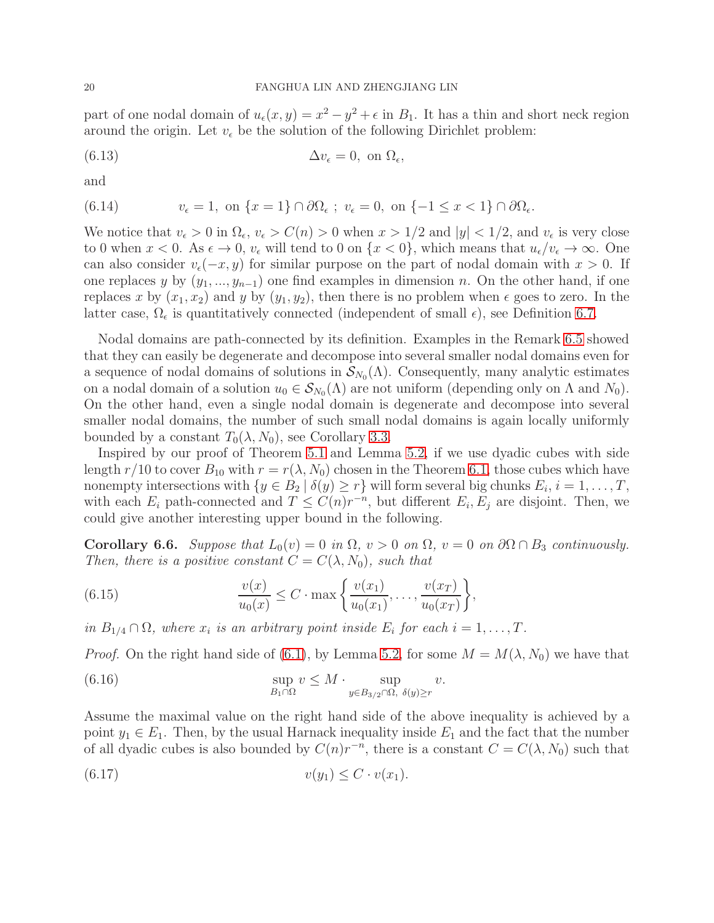part of one nodal domain of  $u_{\epsilon}(x, y) = x^2 - y^2 + \epsilon$  in  $B_1$ . It has a thin and short neck region around the origin. Let  $v_{\epsilon}$  be the solution of the following Dirichlet problem:

(6.13) 
$$
\Delta v_{\epsilon} = 0, \text{ on } \Omega_{\epsilon},
$$

and

(6.14) 
$$
v_{\epsilon} = 1, \text{ on } \{x = 1\} \cap \partial \Omega_{\epsilon} ; v_{\epsilon} = 0, \text{ on } \{-1 \le x < 1\} \cap \partial \Omega_{\epsilon}.
$$

We notice that  $v_{\epsilon} > 0$  in  $\Omega_{\epsilon}$ ,  $v_{\epsilon} > C(n) > 0$  when  $x > 1/2$  and  $|y| < 1/2$ , and  $v_{\epsilon}$  is very close to 0 when  $x < 0$ . As  $\epsilon \to 0$ ,  $v_{\epsilon}$  will tend to 0 on  $\{x < 0\}$ , which means that  $u_{\epsilon}/v_{\epsilon} \to \infty$ . One can also consider  $v_{\epsilon}(-x, y)$  for similar purpose on the part of nodal domain with  $x > 0$ . If one replaces y by  $(y_1, ..., y_{n-1})$  one find examples in dimension n. On the other hand, if one replaces x by  $(x_1, x_2)$  and y by  $(y_1, y_2)$ , then there is no problem when  $\epsilon$  goes to zero. In the latter case,  $\Omega_{\epsilon}$  is quantitatively connected (independent of small  $\epsilon$ ), see Definition [6.7.](#page-20-0)

Nodal domains are path-connected by its definition. Examples in the Remark [6.5](#page-18-0) showed that they can easily be degenerate and decompose into several smaller nodal domains even for a sequence of nodal domains of solutions in  $\mathcal{S}_{N_0}(\Lambda)$ . Consequently, many analytic estimates on a nodal domain of a solution  $u_0 \in S_{N_0}(\Lambda)$  are not uniform (depending only on  $\Lambda$  and  $N_0$ ). On the other hand, even a single nodal domain is degenerate and decompose into several smaller nodal domains, the number of such small nodal domains is again locally uniformly bounded by a constant  $T_0(\lambda, N_0)$ , see Corollary [3.3.](#page-10-2)

Inspired by our proof of Theorem [5.1](#page-14-1) and Lemma [5.2,](#page-14-3) if we use dyadic cubes with side length  $r/10$  to cover  $B_{10}$  with  $r = r(\lambda, N_0)$  chosen in the Theorem [6.1,](#page-17-0) those cubes which have nonempty intersections with  $\{y \in B_2 \mid \delta(y) \ge r\}$  will form several big chunks  $E_i, i = 1, \ldots, T$ , with each  $E_i$  path-connected and  $T \leq C(n)r^{-n}$ , but different  $E_i, E_j$  are disjoint. Then, we could give another interesting upper bound in the following.

<span id="page-19-1"></span>**Corollary 6.6.** *Suppose that*  $L_0(v) = 0$  *in*  $\Omega$ ,  $v > 0$  *on*  $\Omega$ ,  $v = 0$  *on*  $\partial\Omega \cap B_3$  *continuously. Then, there is a positive constant*  $C = C(\lambda, N_0)$ *, such that* 

<span id="page-19-0"></span>(6.15) 
$$
\frac{v(x)}{u_0(x)} \leq C \cdot \max\left\{\frac{v(x_1)}{u_0(x_1)}, \dots, \frac{v(x_T)}{u_0(x_T)}\right\},\,
$$

*in*  $B_{1/4} \cap \Omega$ , where  $x_i$  *is an arbitrary point inside*  $E_i$  *for each*  $i = 1, \ldots, T$ .

*Proof.* On the right hand side of [\(6.1\)](#page-17-2), by Lemma [5.2,](#page-14-3) for some  $M = M(\lambda, N_0)$  we have that

(6.16) 
$$
\sup_{B_1 \cap \Omega} v \leq M \cdot \sup_{y \in B_{3/2} \cap \Omega, \ \delta(y) \geq r} v.
$$

Assume the maximal value on the right hand side of the above inequality is achieved by a point  $y_1 \in E_1$ . Then, by the usual Harnack inequality inside  $E_1$  and the fact that the number of all dyadic cubes is also bounded by  $C(n)r^{-n}$ , there is a constant  $C = C(\lambda, N_0)$  such that

$$
(6.17) \t v(y_1) \leq C \cdot v(x_1).
$$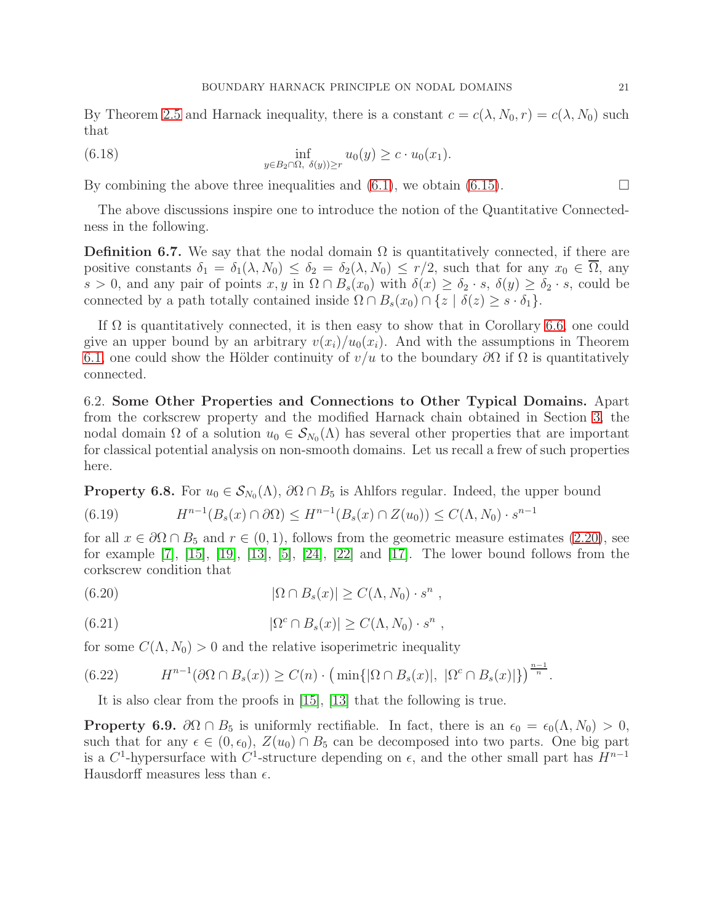By Theorem [2.5](#page-6-1) and Harnack inequality, there is a constant  $c = c(\lambda, N_0, r) = c(\lambda, N_0)$  such that

(6.18) 
$$
\inf_{y \in B_2 \cap \Omega, \ \delta(y) \ge r} u_0(y) \ge c \cdot u_0(x_1).
$$

By combining the above three inequalities and  $(6.1)$ , we obtain  $(6.15)$ .

The above discussions inspire one to introduce the notion of the Quantitative Connectedness in the following.

<span id="page-20-0"></span>**Definition 6.7.** We say that the nodal domain  $\Omega$  is quantitatively connected, if there are positive constants  $\delta_1 = \delta_1(\lambda, N_0) \leq \delta_2 = \delta_2(\lambda, N_0) \leq r/2$ , such that for any  $x_0 \in \Omega$ , any s > 0, and any pair of points  $x, y$  in  $\Omega \cap B_s(x_0)$  with  $\delta(x) \geq \delta_2 \cdot s$ ,  $\delta(y) \geq \delta_2 \cdot s$ , could be connected by a path totally contained inside  $\Omega \cap B_s(x_0) \cap \{z \mid \delta(z) \geq s \cdot \delta_1\}.$ 

If  $\Omega$  is quantitatively connected, it is then easy to show that in Corollary [6.6,](#page-19-1) one could give an upper bound by an arbitrary  $v(x_i)/u_0(x_i)$ . And with the assumptions in Theorem [6.1,](#page-17-0) one could show the Hölder continuity of  $v/u$  to the boundary  $\partial\Omega$  if  $\Omega$  is quantitatively connected.

6.2. Some Other Properties and Connections to Other Typical Domains. Apart from the corkscrew property and the modified Harnack chain obtained in Section [3,](#page-7-1) the nodal domain  $\Omega$  of a solution  $u_0 \in S_{N_0}(\Lambda)$  has several other properties that are important for classical potential analysis on non-smooth domains. Let us recall a frew of such properties here.

**Property 6.8.** For  $u_0 \in S_{N_0}(\Lambda)$ ,  $\partial\Omega \cap B_5$  is Ahlfors regular. Indeed, the upper bound

$$
(6.19) \tHn-1(Bs(x) \cap \partial\Omega) \le Hn-1(Bs(x) \cap Z(u_0)) \le C(\Lambda, N_0) \cdot s^{n-1}
$$

for all  $x \in \partial \Omega \cap B_5$  and  $r \in (0,1)$ , follows from the geometric measure estimates [\(2.20\)](#page-7-2), see for example  $[7]$ ,  $[15]$ ,  $[19]$ ,  $[13]$ ,  $[5]$ ,  $[24]$ ,  $[22]$  and  $[17]$ . The lower bound follows from the corkscrew condition that

(6.20) 
$$
|\Omega \cap B_s(x)| \ge C(\Lambda, N_0) \cdot s^n ,
$$

(6.21) 
$$
|\Omega^c \cap B_s(x)| \ge C(\Lambda, N_0) \cdot s^n ,
$$

for some  $C(\Lambda, N_0) > 0$  and the relative isoperimetric inequality

$$
(6.22) \tH^{n-1}(\partial\Omega \cap B_s(x)) \ge C(n) \cdot \left(\min\{|\Omega \cap B_s(x)|, |\Omega^c \cap B_s(x)|\}\right)^{\frac{n-1}{n}}.
$$

It is also clear from the proofs in [\[15\]](#page-22-12), [\[13\]](#page-22-16) that the following is true.

**Property 6.9.**  $\partial\Omega \cap B_5$  is uniformly rectifiable. In fact, there is an  $\epsilon_0 = \epsilon_0(\Lambda, N_0) > 0$ , such that for any  $\epsilon \in (0, \epsilon_0)$ ,  $Z(u_0) \cap B_5$  can be decomposed into two parts. One big part is a  $C^1$ -hypersurface with  $C^1$ -structure depending on  $\epsilon$ , and the other small part has  $H^{n-1}$ Hausdorff measures less than  $\epsilon$ .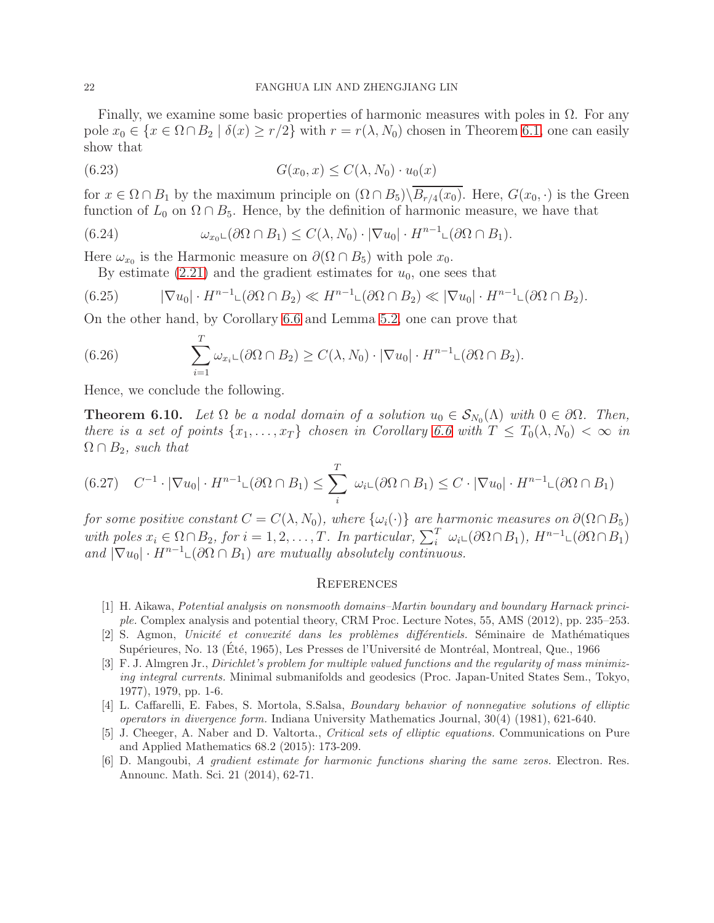Finally, we examine some basic properties of harmonic measures with poles in  $\Omega$ . For any pole  $x_0 \in \{x \in \Omega \cap B_2 \mid \delta(x) \ge r/2\}$  with  $r = r(\lambda, N_0)$  chosen in Theorem [6.1,](#page-17-0) one can easily show that

$$
(6.23) \tG(x_0, x) \le C(\lambda, N_0) \cdot u_0(x)
$$

for  $x \in \Omega \cap B_1$  by the maximum principle on  $(\Omega \cap B_5) \backslash \overline{B_{r/4}(x_0)}$ . Here,  $G(x_0, \cdot)$  is the Green function of  $L_0$  on  $\Omega \cap B_5$ . Hence, by the definition of harmonic measure, we have that

(6.24) 
$$
\omega_{x_0} \omega(\partial \Omega \cap B_1) \leq C(\lambda, N_0) \cdot |\nabla u_0| \cdot H^{n-1} \omega(\partial \Omega \cap B_1).
$$

Here  $\omega_{x_0}$  is the Harmonic measure on  $\partial(\Omega \cap B_5)$  with pole  $x_0$ .

By estimate  $(2.21)$  and the gradient estimates for  $u_0$ , one sees that

$$
(6.25) \qquad |\nabla u_0| \cdot H^{n-1} \mathcal{L}(\partial \Omega \cap B_2) \ll H^{n-1} \mathcal{L}(\partial \Omega \cap B_2) \ll |\nabla u_0| \cdot H^{n-1} \mathcal{L}(\partial \Omega \cap B_2).
$$

On the other hand, by Corollary [6.6](#page-19-1) and Lemma [5.2,](#page-14-3) one can prove that

(6.26) 
$$
\sum_{i=1}^T \omega_{x_i} \mathcal{L}(\partial \Omega \cap B_2) \geq C(\lambda, N_0) \cdot |\nabla u_0| \cdot H^{n-1} \mathcal{L}(\partial \Omega \cap B_2).
$$

Hence, we conclude the following.

**Theorem 6.10.** Let  $\Omega$  be a nodal domain of a solution  $u_0 \in S_{N_0}(\Lambda)$  with  $0 \in \partial \Omega$ . Then, *there is a set of points*  $\{x_1, \ldots, x_T\}$  *chosen in Corollary [6.6](#page-19-1) with*  $T \leq T_0(\lambda, N_0) < \infty$  *in*  $\Omega \cap B_2$ *, such that* 

$$
(6.27) \quad C^{-1} \cdot |\nabla u_0| \cdot H^{n-1} \mathcal{L}(\partial \Omega \cap B_1) \le \sum_i^T \omega_i \mathcal{L}(\partial \Omega \cap B_1) \le C \cdot |\nabla u_0| \cdot H^{n-1} \mathcal{L}(\partial \Omega \cap B_1)
$$

*for some positive constant*  $C = C(\lambda, N_0)$ *, where*  $\{\omega_i(\cdot)\}\$  *are harmonic measures on*  $\partial(\Omega \cap B_5)$ *with poles*  $x_i \in \Omega \cap B_2$ , for  $i = 1, 2, ..., T$ . In particular,  $\sum_i^T \omega_i \cup (\partial \Omega \cap B_1)$ ,  $H^{n-1} \cup (\partial \Omega \cap B_1)$ *and*  $|\nabla u_0| \cdot H^{n-1} \circlearrowright (\partial \Omega \cap B_1)$  *are mutually absolutely continuous.* 

#### **REFERENCES**

- <span id="page-21-0"></span>[1] H. Aikawa, Potential analysis on nonsmooth domains–Martin boundary and boundary Harnack principle. Complex analysis and potential theory, CRM Proc. Lecture Notes, 55, AMS (2012), pp. 235–253.
- <span id="page-21-3"></span>[2] S. Agmon, Unicité et convexité dans les problèmes différentiels. Séminaire de Mathématiques Supérieures, No. 13 (Été, 1965), Les Presses de l'Université de Montréal, Montreal, Que., 1966
- <span id="page-21-4"></span>[3] F. J. Almgren Jr., Dirichlet's problem for multiple valued functions and the regularity of mass minimizing integral currents. Minimal submanifolds and geodesics (Proc. Japan-United States Sem., Tokyo, 1977), 1979, pp. 1-6.
- <span id="page-21-1"></span>[4] L. Caffarelli, E. Fabes, S. Mortola, S.Salsa, Boundary behavior of nonnegative solutions of elliptic operators in divergence form. Indiana University Mathematics Journal, 30(4) (1981), 621-640.
- <span id="page-21-5"></span>[5] J. Cheeger, A. Naber and D. Valtorta., Critical sets of elliptic equations. Communications on Pure and Applied Mathematics 68.2 (2015): 173-209.
- <span id="page-21-2"></span>[6] D. Mangoubi, A gradient estimate for harmonic functions sharing the same zeros. Electron. Res. Announc. Math. Sci. 21 (2014), 62-71.